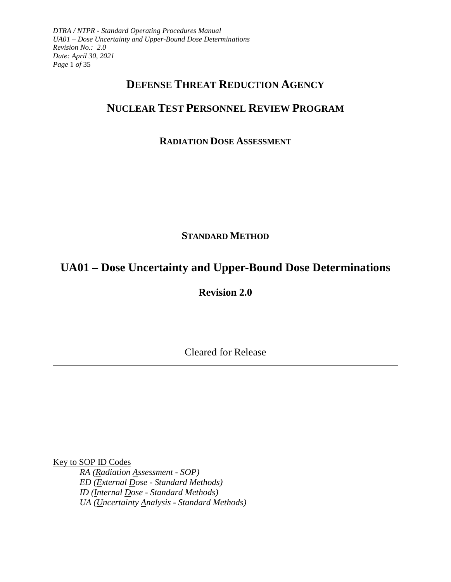*DTRA / NTPR - Standard Operating Procedures Manual UA01 – Dose Uncertainty and Upper-Bound Dose Determinations Revision No.: 2.0 Date: April 30, 2021 Page* 1 *of* 35

## **DEFENSE THREAT REDUCTION AGENCY**

# **NUCLEAR TEST PERSONNEL REVIEW PROGRAM**

## **RADIATION DOSE ASSESSMENT**

## **STANDARD METHOD**

# **UA01 – Dose Uncertainty and Upper-Bound Dose Determinations**

**Revision 2.0**

Cleared for Release

Key to SOP ID Codes *RA (Radiation Assessment - SOP) ED (External Dose - Standard Methods) ID (Internal Dose - Standard Methods) UA (Uncertainty Analysis - Standard Methods)*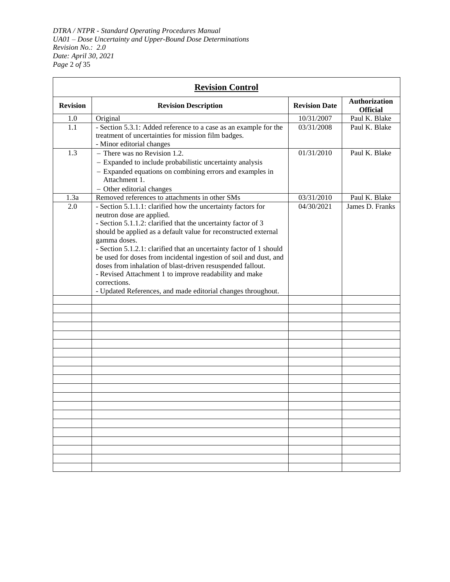*DTRA / NTPR - Standard Operating Procedures Manual UA01 – Dose Uncertainty and Upper-Bound Dose Determinations Revision No.: 2.0 Date: April 30, 2021 Page* 2 *of* 35

|                 | <b>Revision Control</b>                                                                    |                      |                                         |
|-----------------|--------------------------------------------------------------------------------------------|----------------------|-----------------------------------------|
| <b>Revision</b> | <b>Revision Description</b>                                                                | <b>Revision Date</b> | <b>Authorization</b><br><b>Official</b> |
| 1.0             | Original                                                                                   | 10/31/2007           | Paul K. Blake                           |
| 1.1             | - Section 5.3.1: Added reference to a case as an example for the                           | 03/31/2008           | Paul K. Blake                           |
|                 | treatment of uncertainties for mission film badges.<br>- Minor editorial changes           |                      |                                         |
| 1.3             | - There was no Revision 1.2.                                                               | 01/31/2010           | Paul K. Blake                           |
|                 | - Expanded to include probabilistic uncertainty analysis                                   |                      |                                         |
|                 | - Expanded equations on combining errors and examples in                                   |                      |                                         |
|                 | Attachment 1.                                                                              |                      |                                         |
|                 | - Other editorial changes                                                                  |                      |                                         |
| 1.3a            | Removed references to attachments in other SMs                                             | 03/31/2010           | Paul K. Blake                           |
| 2.0             | - Section 5.1.1.1: clarified how the uncertainty factors for                               | 04/30/2021           | James D. Franks                         |
|                 | neutron dose are applied.<br>- Section 5.1.1.2: clarified that the uncertainty factor of 3 |                      |                                         |
|                 | should be applied as a default value for reconstructed external                            |                      |                                         |
|                 | gamma doses.                                                                               |                      |                                         |
|                 | - Section 5.1.2.1: clarified that an uncertainty factor of 1 should                        |                      |                                         |
|                 | be used for doses from incidental ingestion of soil and dust, and                          |                      |                                         |
|                 | doses from inhalation of blast-driven resuspended fallout.                                 |                      |                                         |
|                 | - Revised Attachment 1 to improve readability and make                                     |                      |                                         |
|                 | corrections.                                                                               |                      |                                         |
|                 | - Updated References, and made editorial changes throughout.                               |                      |                                         |
|                 |                                                                                            |                      |                                         |
|                 |                                                                                            |                      |                                         |
|                 |                                                                                            |                      |                                         |
|                 |                                                                                            |                      |                                         |
|                 |                                                                                            |                      |                                         |
|                 |                                                                                            |                      |                                         |
|                 |                                                                                            |                      |                                         |
|                 |                                                                                            |                      |                                         |
|                 |                                                                                            |                      |                                         |
|                 |                                                                                            |                      |                                         |
|                 |                                                                                            |                      |                                         |
|                 |                                                                                            |                      |                                         |
|                 |                                                                                            |                      |                                         |
|                 |                                                                                            |                      |                                         |
|                 |                                                                                            |                      |                                         |
|                 |                                                                                            |                      |                                         |
|                 |                                                                                            |                      |                                         |
|                 |                                                                                            |                      |                                         |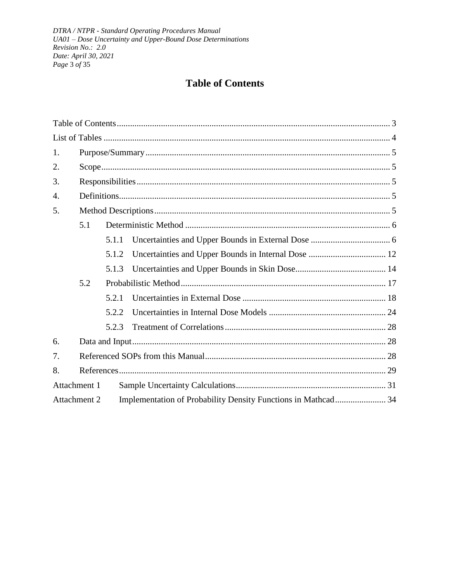DTRA / NTPR - Standard Operating Procedures Manual UA01 - Dose Uncertainty and Upper-Bound Dose Determinations Revision No.: 2.0 Date: April 30, 2021 Page 3 of 35

# **Table of Contents**

<span id="page-2-0"></span>

| 1.           |     |       |  |  |  |
|--------------|-----|-------|--|--|--|
| 2.           |     |       |  |  |  |
| 3.           |     |       |  |  |  |
| 4.           |     |       |  |  |  |
| 5.           |     |       |  |  |  |
|              | 5.1 |       |  |  |  |
|              |     | 5.1.1 |  |  |  |
|              |     | 5.1.2 |  |  |  |
|              |     | 5.1.3 |  |  |  |
|              | 5.2 |       |  |  |  |
|              |     | 5.2.1 |  |  |  |
|              |     | 5.2.2 |  |  |  |
|              |     | 5.2.3 |  |  |  |
| 6.           |     |       |  |  |  |
| 7.           |     |       |  |  |  |
| 8.           |     |       |  |  |  |
| Attachment 1 |     |       |  |  |  |
| Attachment 2 |     |       |  |  |  |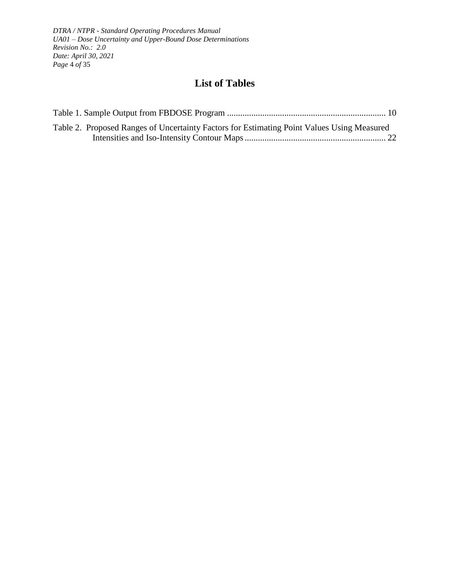*DTRA / NTPR - Standard Operating Procedures Manual UA01 – Dose Uncertainty and Upper-Bound Dose Determinations Revision No.: 2.0 Date: April 30, 2021 Page* 4 *of* 35

## **List of Tables**

<span id="page-3-0"></span>

| Table 2. Proposed Ranges of Uncertainty Factors for Estimating Point Values Using Measured |  |
|--------------------------------------------------------------------------------------------|--|
|                                                                                            |  |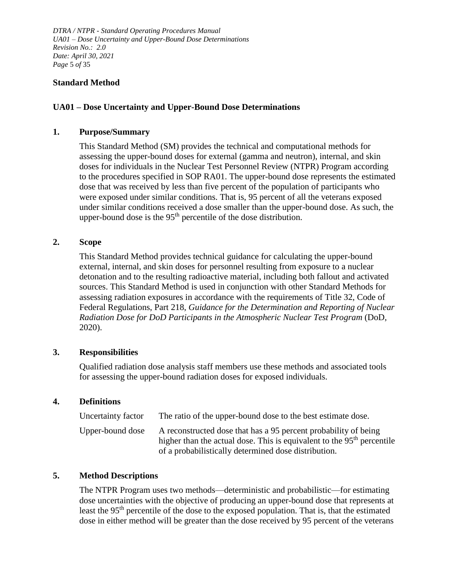*DTRA / NTPR - Standard Operating Procedures Manual UA01 – Dose Uncertainty and Upper-Bound Dose Determinations Revision No.: 2.0 Date: April 30, 2021 Page* 5 *of* 35

## **Standard Method**

## **UA01 – Dose Uncertainty and Upper-Bound Dose Determinations**

#### <span id="page-4-0"></span>**1. Purpose/Summary**

This Standard Method (SM) provides the technical and computational methods for assessing the upper-bound doses for external (gamma and neutron), internal, and skin doses for individuals in the Nuclear Test Personnel Review (NTPR) Program according to the procedures specified in SOP RA01. The upper-bound dose represents the estimated dose that was received by less than five percent of the population of participants who were exposed under similar conditions. That is, 95 percent of all the veterans exposed under similar conditions received a dose smaller than the upper-bound dose. As such, the upper-bound dose is the  $95<sup>th</sup>$  percentile of the dose distribution.

## <span id="page-4-1"></span>**2. Scope**

This Standard Method provides technical guidance for calculating the upper-bound external, internal, and skin doses for personnel resulting from exposure to a nuclear detonation and to the resulting radioactive material, including both fallout and activated sources. This Standard Method is used in conjunction with other Standard Methods for assessing radiation exposures in accordance with the requirements of Title 32, Code of Federal Regulations, Part 218, *Guidance for the Determination and Reporting of Nuclear Radiation Dose for DoD Participants in the Atmospheric Nuclear Test Program* (DoD, 2020).

#### <span id="page-4-2"></span>**3. Responsibilities**

Qualified radiation dose analysis staff members use these methods and associated tools for assessing the upper-bound radiation doses for exposed individuals.

#### <span id="page-4-3"></span>**4. Definitions**

| Uncertainty factor | The ratio of the upper-bound dose to the best estimate dose.                                                                                                                                                  |
|--------------------|---------------------------------------------------------------------------------------------------------------------------------------------------------------------------------------------------------------|
| Upper-bound dose   | A reconstructed dose that has a 95 percent probability of being<br>higher than the actual dose. This is equivalent to the 95 <sup>th</sup> percentile<br>of a probabilistically determined dose distribution. |

#### <span id="page-4-4"></span>**5. Method Descriptions**

The NTPR Program uses two methods—deterministic and probabilistic—for estimating dose uncertainties with the objective of producing an upper-bound dose that represents at least the 95th percentile of the dose to the exposed population. That is, that the estimated dose in either method will be greater than the dose received by 95 percent of the veterans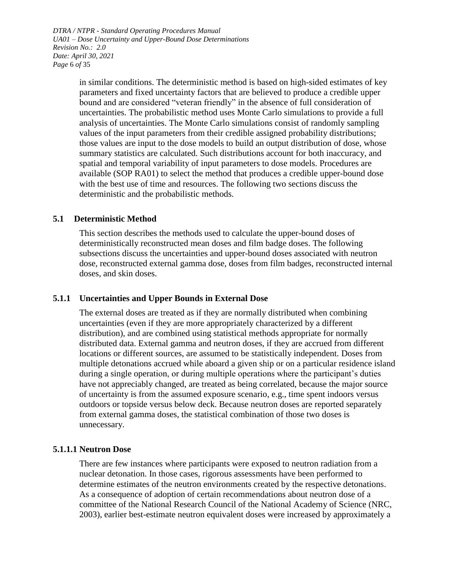*DTRA / NTPR - Standard Operating Procedures Manual UA01 – Dose Uncertainty and Upper-Bound Dose Determinations Revision No.: 2.0 Date: April 30, 2021 Page* 6 *of* 35

> in similar conditions. The deterministic method is based on high-sided estimates of key parameters and fixed uncertainty factors that are believed to produce a credible upper bound and are considered "veteran friendly" in the absence of full consideration of uncertainties. The probabilistic method uses Monte Carlo simulations to provide a full analysis of uncertainties. The Monte Carlo simulations consist of randomly sampling values of the input parameters from their credible assigned probability distributions; those values are input to the dose models to build an output distribution of dose, whose summary statistics are calculated. Such distributions account for both inaccuracy, and spatial and temporal variability of input parameters to dose models. Procedures are available (SOP RA01) to select the method that produces a credible upper-bound dose with the best use of time and resources. The following two sections discuss the deterministic and the probabilistic methods.

## <span id="page-5-0"></span>**5.1 Deterministic Method**

This section describes the methods used to calculate the upper-bound doses of deterministically reconstructed mean doses and film badge doses. The following subsections discuss the uncertainties and upper-bound doses associated with neutron dose, reconstructed external gamma dose, doses from film badges, reconstructed internal doses, and skin doses.

#### <span id="page-5-1"></span>**5.1.1 Uncertainties and Upper Bounds in External Dose**

The external doses are treated as if they are normally distributed when combining uncertainties (even if they are more appropriately characterized by a different distribution), and are combined using statistical methods appropriate for normally distributed data. External gamma and neutron doses, if they are accrued from different locations or different sources, are assumed to be statistically independent. Doses from multiple detonations accrued while aboard a given ship or on a particular residence island during a single operation, or during multiple operations where the participant's duties have not appreciably changed, are treated as being correlated, because the major source of uncertainty is from the assumed exposure scenario, e.g., time spent indoors versus outdoors or topside versus below deck. Because neutron doses are reported separately from external gamma doses, the statistical combination of those two doses is unnecessary.

#### **5.1.1.1 Neutron Dose**

There are few instances where participants were exposed to neutron radiation from a nuclear detonation. In those cases, rigorous assessments have been performed to determine estimates of the neutron environments created by the respective detonations. As a consequence of adoption of certain recommendations about neutron dose of a committee of the National Research Council of the National Academy of Science (NRC, 2003), earlier best-estimate neutron equivalent doses were increased by approximately a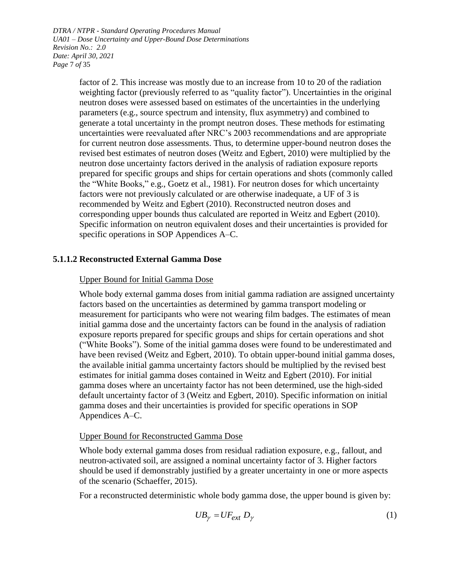*DTRA / NTPR - Standard Operating Procedures Manual UA01 – Dose Uncertainty and Upper-Bound Dose Determinations Revision No.: 2.0 Date: April 30, 2021 Page* 7 *of* 35

> factor of 2. This increase was mostly due to an increase from 10 to 20 of the radiation weighting factor (previously referred to as "quality factor"). Uncertainties in the original neutron doses were assessed based on estimates of the uncertainties in the underlying parameters (e.g., source spectrum and intensity, flux asymmetry) and combined to generate a total uncertainty in the prompt neutron doses. These methods for estimating uncertainties were reevaluated after NRC's 2003 recommendations and are appropriate for current neutron dose assessments. Thus, to determine upper-bound neutron doses the revised best estimates of neutron doses (Weitz and Egbert, 2010) were multiplied by the neutron dose uncertainty factors derived in the analysis of radiation exposure reports prepared for specific groups and ships for certain operations and shots (commonly called the "White Books," e.g., Goetz et al., 1981). For neutron doses for which uncertainty factors were not previously calculated or are otherwise inadequate, a UF of 3 is recommended by Weitz and Egbert (2010). Reconstructed neutron doses and corresponding upper bounds thus calculated are reported in Weitz and Egbert (2010). Specific information on neutron equivalent doses and their uncertainties is provided for specific operations in SOP Appendices A–C.

## **5.1.1.2 Reconstructed External Gamma Dose**

#### Upper Bound for Initial Gamma Dose

Whole body external gamma doses from initial gamma radiation are assigned uncertainty factors based on the uncertainties as determined by gamma transport modeling or measurement for participants who were not wearing film badges. The estimates of mean initial gamma dose and the uncertainty factors can be found in the analysis of radiation exposure reports prepared for specific groups and ships for certain operations and shot ("White Books"). Some of the initial gamma doses were found to be underestimated and have been revised (Weitz and Egbert, 2010). To obtain upper-bound initial gamma doses, the available initial gamma uncertainty factors should be multiplied by the revised best estimates for initial gamma doses contained in Weitz and Egbert (2010). For initial gamma doses where an uncertainty factor has not been determined, use the high-sided default uncertainty factor of 3 (Weitz and Egbert, 2010). Specific information on initial gamma doses and their uncertainties is provided for specific operations in SOP Appendices A–C.

#### Upper Bound for Reconstructed Gamma Dose

Whole body external gamma doses from residual radiation exposure, e.g., fallout, and neutron-activated soil, are assigned a nominal uncertainty factor of 3. Higher factors should be used if demonstrably justified by a greater uncertainty in one or more aspects of the scenario (Schaeffer, 2015).

For a reconstructed deterministic whole body gamma dose, the upper bound is given by:

$$
UB_{\gamma} = UF_{ext} D_{\gamma} \tag{1}
$$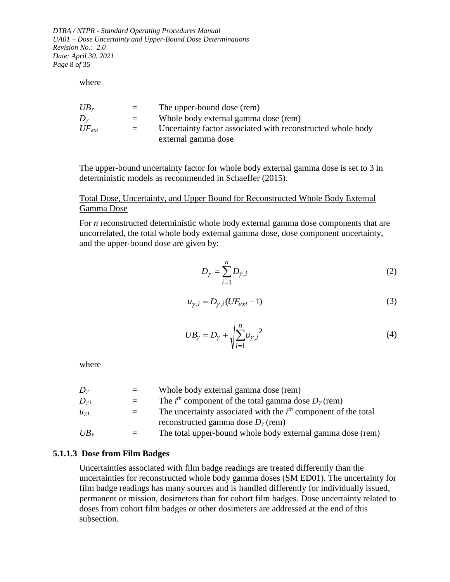*DTRA / NTPR - Standard Operating Procedures Manual UA01 – Dose Uncertainty and Upper-Bound Dose Determinations Revision No.: 2.0 Date: April 30, 2021 Page* 8 *of* 35

where

| $UB_{\gamma}$ | $=$ | The upper-bound dose (rem)                                  |
|---------------|-----|-------------------------------------------------------------|
| Dν            | $=$ | Whole body external gamma dose (rem)                        |
| $UF_{ext}$    | $=$ | Uncertainty factor associated with reconstructed whole body |
|               |     | external gamma dose                                         |

The upper-bound uncertainty factor for whole body external gamma dose is set to 3 in deterministic models as recommended in Schaeffer (2015).

### Total Dose, Uncertainty, and Upper Bound for Reconstructed Whole Body External Gamma Dose

For *n* reconstructed deterministic whole body external gamma dose components that are uncorrelated, the total whole body external gamma dose, dose component uncertainty, and the upper-bound dose are given by:

$$
D_{\gamma} = \sum_{i=1}^{n} D_{\gamma,i} \tag{2}
$$

$$
u_{\gamma,i} = D_{\gamma,i}(UF_{ext} - 1)
$$
\n(3)

$$
UB_{\gamma} = D_{\gamma} + \sqrt{\sum_{i=1}^{n} u_{\gamma,i}^2}
$$
 (4)

where

| Dν             | $=$     | Whole body external gamma dose (rem)                                            |
|----------------|---------|---------------------------------------------------------------------------------|
| $D_{\gamma,i}$ | $=$     | The <i>i</i> <sup>th</sup> component of the total gamma dose $D_{\gamma}$ (rem) |
| $u_{\gamma,i}$ | $=$ $-$ | The uncertainty associated with the $ith$ component of the total                |
|                |         | reconstructed gamma dose $D_{\gamma}$ (rem)                                     |
| $UB_{\nu}$     |         | The total upper-bound whole body external gamma dose (rem)                      |

#### **5.1.1.3 Dose from Film Badges**

<span id="page-7-0"></span>Uncertainties associated with film badge readings are treated differently than the uncertainties for reconstructed whole body gamma doses (SM ED01). The uncertainty for film badge readings has many sources and is handled differently for individually issued, permanent or mission, dosimeters than for cohort film badges. Dose uncertainty related to doses from cohort film badges or other dosimeters are addressed at the end of this subsection.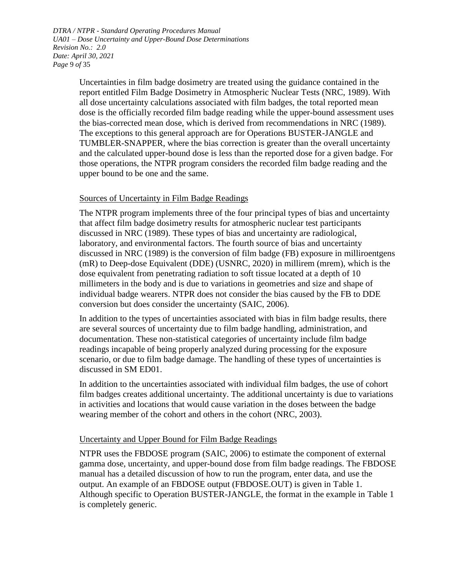*DTRA / NTPR - Standard Operating Procedures Manual UA01 – Dose Uncertainty and Upper-Bound Dose Determinations Revision No.: 2.0 Date: April 30, 2021 Page* 9 *of* 35

> Uncertainties in film badge dosimetry are treated using the guidance contained in the report entitled Film Badge Dosimetry in Atmospheric Nuclear Tests (NRC, 1989). With all dose uncertainty calculations associated with film badges, the total reported mean dose is the officially recorded film badge reading while the upper-bound assessment uses the bias-corrected mean dose, which is derived from recommendations in NRC (1989). The exceptions to this general approach are for Operations BUSTER-JANGLE and TUMBLER-SNAPPER, where the bias correction is greater than the overall uncertainty and the calculated upper-bound dose is less than the reported dose for a given badge. For those operations, the NTPR program considers the recorded film badge reading and the upper bound to be one and the same.

## Sources of Uncertainty in Film Badge Readings

The NTPR program implements three of the four principal types of bias and uncertainty that affect film badge dosimetry results for atmospheric nuclear test participants discussed in NRC (1989). These types of bias and uncertainty are radiological, laboratory, and environmental factors. The fourth source of bias and uncertainty discussed in NRC (1989) is the conversion of film badge (FB) exposure in milliroentgens (mR) to Deep-dose Equivalent (DDE) (USNRC, 2020) in millirem (mrem), which is the dose equivalent from penetrating radiation to soft tissue located at a depth of 10 millimeters in the body and is due to variations in geometries and size and shape of individual badge wearers. NTPR does not consider the bias caused by the FB to DDE conversion but does consider the uncertainty (SAIC, 2006).

In addition to the types of uncertainties associated with bias in film badge results, there are several sources of uncertainty due to film badge handling, administration, and documentation. These non-statistical categories of uncertainty include film badge readings incapable of being properly analyzed during processing for the exposure scenario, or due to film badge damage. The handling of these types of uncertainties is discussed in SM ED01.

In addition to the uncertainties associated with individual film badges, the use of cohort film badges creates additional uncertainty. The additional uncertainty is due to variations in activities and locations that would cause variation in the doses between the badge wearing member of the cohort and others in the cohort (NRC, 2003).

## Uncertainty and Upper Bound for Film Badge Readings

NTPR uses the FBDOSE program (SAIC, 2006) to estimate the component of external gamma dose, uncertainty, and upper-bound dose from film badge readings. The FBDOSE manual has a detailed discussion of how to run the program, enter data, and use the output. An example of an FBDOSE output (FBDOSE.OUT) is given in [Table 1.](#page-9-0) Although specific to Operation BUSTER-JANGLE, the format in the example in [Table 1](#page-9-0) is completely generic.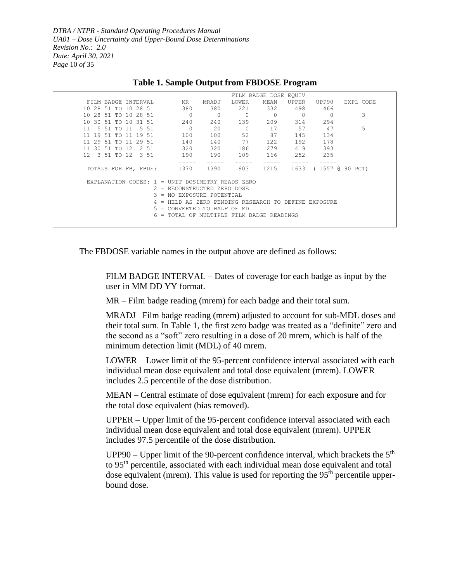*DTRA / NTPR - Standard Operating Procedures Manual UA01 – Dose Uncertainty and Upper-Bound Dose Determinations Revision No.: 2.0 Date: April 30, 2021 Page* 10 *of* 35

<span id="page-9-0"></span>

|                                                    |                                                  |                |         | FILM BADGE DOSE EQUIV |          |                      |           |
|----------------------------------------------------|--------------------------------------------------|----------------|---------|-----------------------|----------|----------------------|-----------|
| FILM BADGE INTERVAL                                | MR                                               | MRADJ          | LOWER   | MEAN                  | UPPER    | UPP90                | EXPL CODE |
| 10 28 51 TO 10 28 51                               | 380                                              | 380            | 221     | 332                   | 498      | 466                  |           |
| 10 28 51 TO 10 28 51                               | $\Omega$                                         | $\overline{0}$ | $\circ$ | $\Omega$              | $\Omega$ |                      | 3         |
| 10 30 51 TO 10 31 51                               | 240                                              | 240            | 139     | 209                   | 314      | 294                  |           |
| 11<br>5 51 TO 11<br>5 51                           | $\Omega$                                         | 20             | $\circ$ | 17                    | 57       | 47                   | 5         |
| 11<br>19 51<br>19 51<br>TO.<br>-11                 | 100                                              | 100            | 52      | 87                    | 145      | 134                  |           |
| 11 29 51<br>29 51<br>11<br>TO.                     | 140                                              | 140            | 77      | 122                   | 192      | 178                  |           |
| 11 30 51 TO 12<br>2 51                             | 320                                              | 320            | 186     | 279                   | 419      | 393                  |           |
| $12 \quad 3 \quad 51 \quad 70 \quad 12$<br>3 51    | 190                                              | 190            | 109     | 166                   | 252      | 235                  |           |
|                                                    |                                                  |                |         |                       |          |                      |           |
| TOTALS FOR FB, FBDE:                               | 1370                                             | 1390           | 903     | 1215                  |          | 1633 (1557 @ 90 PCT) |           |
|                                                    |                                                  |                |         |                       |          |                      |           |
| EXPLANATION CODES: $1 =$ UNIT DOSIMETRY READS ZERO |                                                  |                |         |                       |          |                      |           |
|                                                    | 2 = RECONSTRUCTED ZERO DOSE                      |                |         |                       |          |                      |           |
|                                                    | 3 = NO EXPOSURE POTENTIAL                        |                |         |                       |          |                      |           |
|                                                    | HELD AS ZERO PENDING RESEARCH TO DEFINE EXPOSURE |                |         |                       |          |                      |           |
|                                                    | $5 =$ CONVERTED TO HALF OF MDL                   |                |         |                       |          |                      |           |
|                                                    | $6$ = TOTAL OF MULTIPLE FILM BADGE READINGS      |                |         |                       |          |                      |           |
|                                                    |                                                  |                |         |                       |          |                      |           |

#### **Table 1. Sample Output from FBDOSE Program**

The FBDOSE variable names in the output above are defined as follows:

FILM BADGE INTERVAL – Dates of coverage for each badge as input by the user in MM DD YY format.

MR – Film badge reading (mrem) for each badge and their total sum.

MRADJ –Film badge reading (mrem) adjusted to account for sub-MDL doses and their total sum. In [Table 1,](#page-9-0) the first zero badge was treated as a "definite" zero and the second as a "soft" zero resulting in a dose of 20 mrem, which is half of the minimum detection limit (MDL) of 40 mrem.

LOWER – Lower limit of the 95-percent confidence interval associated with each individual mean dose equivalent and total dose equivalent (mrem). LOWER includes 2.5 percentile of the dose distribution.

MEAN – Central estimate of dose equivalent (mrem) for each exposure and for the total dose equivalent (bias removed).

UPPER – Upper limit of the 95-percent confidence interval associated with each individual mean dose equivalent and total dose equivalent (mrem). UPPER includes 97.5 percentile of the dose distribution.

UPP90 – Upper limit of the 90-percent confidence interval, which brackets the  $5<sup>th</sup>$ to 95th percentile, associated with each individual mean dose equivalent and total dose equivalent (mrem). This value is used for reporting the  $95<sup>th</sup>$  percentile upperbound dose.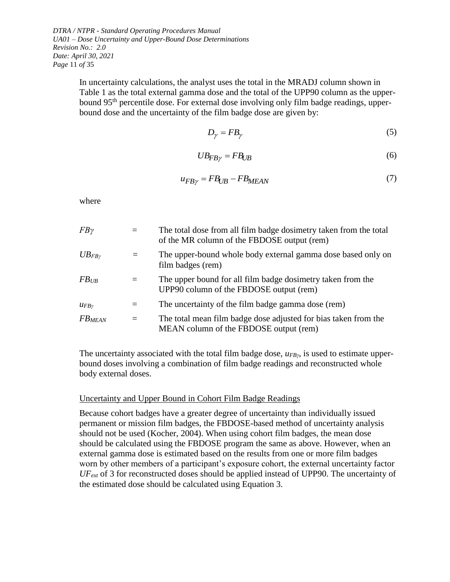*DTRA / NTPR - Standard Operating Procedures Manual UA01 – Dose Uncertainty and Upper-Bound Dose Determinations Revision No.: 2.0 Date: April 30, 2021 Page* 11 *of* 35

> In uncertainty calculations, the analyst uses the total in the MRADJ column shown in [Table 1](#page-9-0) as the total external gamma dose and the total of the UPP90 column as the upperbound 95<sup>th</sup> percentile dose. For external dose involving only film badge readings, upperbound dose and the uncertainty of the film badge dose are given by:

$$
D_{\gamma} = FB_{\gamma} \tag{5}
$$

$$
UB_{FB\gamma} = FB_{UB} \tag{6}
$$

$$
u_{FB\gamma} = FB_{UB} - FB_{MEAN}
$$
\n(7)

where

| $FB\gamma$         |     | The total dose from all film badge dosimetry taken from the total<br>of the MR column of the FBDOSE output (rem) |
|--------------------|-----|------------------------------------------------------------------------------------------------------------------|
| $UB_{FB}$          |     | The upper-bound whole body external gamma dose based only on<br>film badges (rem)                                |
| $FB$ <sub>UB</sub> | $=$ | The upper bound for all film badge dosimetry taken from the<br>UPP90 column of the FBDOSE output (rem)           |
| $u_{FB}$           |     | The uncertainty of the film badge gamma dose (rem)                                                               |
| <b>FBMEAN</b>      | $=$ | The total mean film badge dose adjusted for bias taken from the<br>MEAN column of the FBDOSE output (rem)        |

The uncertainty associated with the total film badge dose,  $u_{FBy}$ , is used to estimate upperbound doses involving a combination of film badge readings and reconstructed whole body external doses.

#### Uncertainty and Upper Bound in Cohort Film Badge Readings

Because cohort badges have a greater degree of uncertainty than individually issued permanent or mission film badges, the FBDOSE-based method of uncertainty analysis should not be used (Kocher, 2004). When using cohort film badges, the mean dose should be calculated using the FBDOSE program the same as above. However, when an external gamma dose is estimated based on the results from one or more film badges worn by other members of a participant's exposure cohort, the external uncertainty factor *UFext* of 3 for reconstructed doses should be applied instead of UPP90. The uncertainty of the estimated dose should be calculated using Equation 3.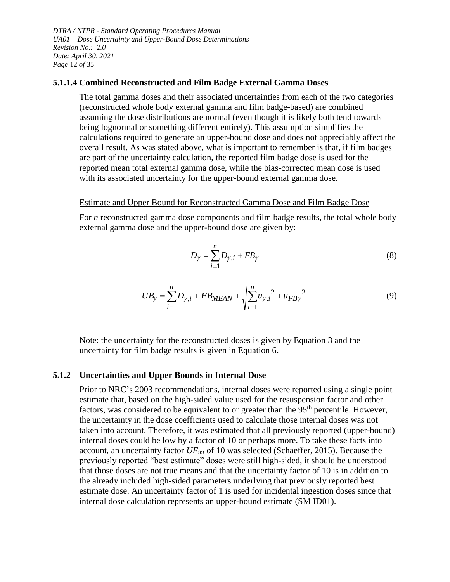*DTRA / NTPR - Standard Operating Procedures Manual UA01 – Dose Uncertainty and Upper-Bound Dose Determinations Revision No.: 2.0 Date: April 30, 2021 Page* 12 *of* 35

#### **5.1.1.4 Combined Reconstructed and Film Badge External Gamma Doses**

The total gamma doses and their associated uncertainties from each of the two categories (reconstructed whole body external gamma and film badge-based) are combined assuming the dose distributions are normal (even though it is likely both tend towards being lognormal or something different entirely). This assumption simplifies the calculations required to generate an upper-bound dose and does not appreciably affect the overall result. As was stated above, what is important to remember is that, if film badges are part of the uncertainty calculation, the reported film badge dose is used for the reported mean total external gamma dose, while the bias-corrected mean dose is used with its associated uncertainty for the upper-bound external gamma dose.

#### Estimate and Upper Bound for Reconstructed Gamma Dose and Film Badge Dose

For *n* reconstructed gamma dose components and film badge results, the total whole body external gamma dose and the upper-bound dose are given by:

$$
D_{\gamma} = \sum_{i=1}^{n} D_{\gamma,i} + FB_{\gamma}
$$
 (8)

$$
UB_{\gamma} = \sum_{i=1}^{n} D_{\gamma,i} + FB_{MEAN} + \sqrt{\sum_{i=1}^{n} u_{\gamma,i}^{2} + u_{FB\gamma}^{2}}
$$
(9)

Note: the uncertainty for the reconstructed doses is given by Equation 3 and the uncertainty for film badge results is given in Equation 6.

#### <span id="page-11-0"></span>**5.1.2 Uncertainties and Upper Bounds in Internal Dose**

Prior to NRC's 2003 recommendations, internal doses were reported using a single point estimate that, based on the high-sided value used for the resuspension factor and other factors, was considered to be equivalent to or greater than the  $95<sup>th</sup>$  percentile. However, the uncertainty in the dose coefficients used to calculate those internal doses was not taken into account. Therefore, it was estimated that all previously reported (upper-bound) internal doses could be low by a factor of 10 or perhaps more. To take these facts into account, an uncertainty factor *UFint* of 10 was selected (Schaeffer, 2015). Because the previously reported "best estimate" doses were still high-sided, it should be understood that those doses are not true means and that the uncertainty factor of 10 is in addition to the already included high-sided parameters underlying that previously reported best estimate dose. An uncertainty factor of 1 is used for incidental ingestion doses since that internal dose calculation represents an upper-bound estimate (SM ID01).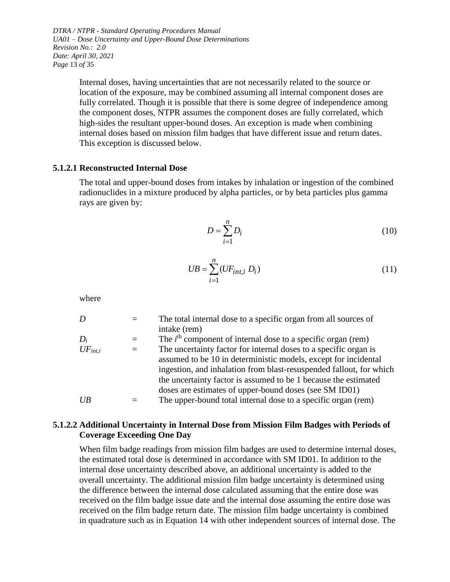*DTRA / NTPR - Standard Operating Procedures Manual UA01 – Dose Uncertainty and Upper-Bound Dose Determinations Revision No.: 2.0 Date: April 30, 2021 Page* 13 *of* 35

> Internal doses, having uncertainties that are not necessarily related to the source or location of the exposure, may be combined assuming all internal component doses are fully correlated. Though it is possible that there is some degree of independence among the component doses, NTPR assumes the component doses are fully correlated, which high-sides the resultant upper-bound doses. An exception is made when combining internal doses based on mission film badges that have different issue and return dates. This exception is discussed below.

#### **5.1.2.1 Reconstructed Internal Dose**

The total and upper-bound doses from intakes by inhalation or ingestion of the combined radionuclides in a mixture produced by alpha particles, or by beta particles plus gamma rays are given by:

$$
D = \sum_{i=1}^{n} D_i \tag{10}
$$

$$
UB = \sum_{i=1}^{n} (UF_{int,i} D_i)
$$
 (11)

where

| D            |     | The total internal dose to a specific organ from all sources of<br>intake (rem)                                                        |
|--------------|-----|----------------------------------------------------------------------------------------------------------------------------------------|
| $D_i$        | $=$ | The $ith$ component of internal dose to a specific organ (rem)                                                                         |
| $UF_{int,i}$ | $=$ | The uncertainty factor for internal doses to a specific organ is<br>assumed to be 10 in deterministic models, except for incidental    |
|              |     | ingestion, and inhalation from blast-resuspended fallout, for which<br>the uncertainty factor is assumed to be 1 because the estimated |
|              |     | doses are estimates of upper-bound doses (see SM ID01)                                                                                 |
| U/B          |     | The upper-bound total internal dose to a specific organ (rem)                                                                          |

#### **5.1.2.2 Additional Uncertainty in Internal Dose from Mission Film Badges with Periods of Coverage Exceeding One Day**

When film badge readings from mission film badges are used to determine internal doses, the estimated total dose is determined in accordance with SM ID01. In addition to the internal dose uncertainty described above, an additional uncertainty is added to the overall uncertainty. The additional mission film badge uncertainty is determined using the difference between the internal dose calculated assuming that the entire dose was received on the film badge issue date and the internal dose assuming the entire dose was received on the film badge return date. The mission film badge uncertainty is combined in quadrature such as in Equation 14 with other independent sources of internal dose. The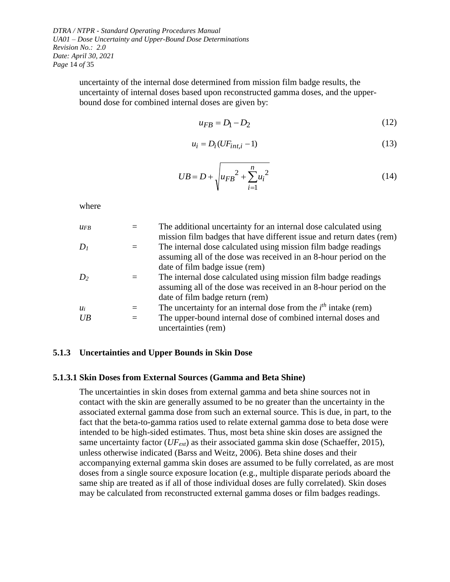*DTRA / NTPR - Standard Operating Procedures Manual UA01 – Dose Uncertainty and Upper-Bound Dose Determinations Revision No.: 2.0 Date: April 30, 2021 Page* 14 *of* 35

> uncertainty of the internal dose determined from mission film badge results, the uncertainty of internal doses based upon reconstructed gamma doses, and the upperbound dose for combined internal doses are given by:

$$
u_{FB} = D_1 - D_2 \tag{12}
$$

$$
u_i = D_i(UF_{int,i} - 1)
$$
\n(13)

$$
UB = D + \sqrt{u_{FB}^2 + \sum_{i=1}^{n} u_i^2}
$$
 (14)

where

| UFR             | The additional uncertainty for an internal dose calculated using     |
|-----------------|----------------------------------------------------------------------|
|                 | mission film badges that have different issue and return dates (rem) |
| $D_1$           | The internal dose calculated using mission film badge readings       |
|                 | assuming all of the dose was received in an 8-hour period on the     |
|                 | date of film badge issue (rem)                                       |
| D <sub>2</sub>  | The internal dose calculated using mission film badge readings       |
|                 | assuming all of the dose was received in an 8-hour period on the     |
|                 | date of film badge return (rem)                                      |
| $\mathcal{U}_i$ | The uncertainty for an internal dose from the $ith$ intake (rem)     |
| UB              | The upper-bound internal dose of combined internal doses and         |
|                 | uncertainties (rem)                                                  |
|                 |                                                                      |

#### <span id="page-13-0"></span>**5.1.3 Uncertainties and Upper Bounds in Skin Dose**

#### **5.1.3.1 Skin Doses from External Sources (Gamma and Beta Shine)**

The uncertainties in skin doses from external gamma and beta shine sources not in contact with the skin are generally assumed to be no greater than the uncertainty in the associated external gamma dose from such an external source. This is due, in part, to the fact that the beta-to-gamma ratios used to relate external gamma dose to beta dose were intended to be high-sided estimates. Thus, most beta shine skin doses are assigned the same uncertainty factor (*UFext*) as their associated gamma skin dose (Schaeffer, 2015), unless otherwise indicated (Barss and Weitz, 2006). Beta shine doses and their accompanying external gamma skin doses are assumed to be fully correlated, as are most doses from a single source exposure location (e.g., multiple disparate periods aboard the same ship are treated as if all of those individual doses are fully correlated). Skin doses may be calculated from reconstructed external gamma doses or film badges readings.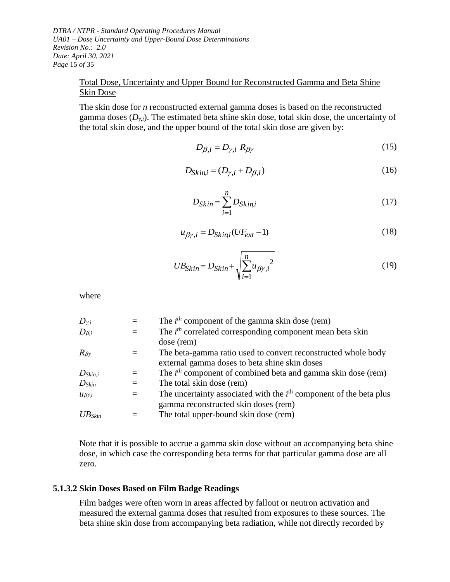*DTRA / NTPR - Standard Operating Procedures Manual UA01 – Dose Uncertainty and Upper-Bound Dose Determinations Revision No.: 2.0 Date: April 30, 2021 Page* 15 *of* 35

## Total Dose, Uncertainty and Upper Bound for Reconstructed Gamma and Beta Shine Skin Dose

The skin dose for *n* reconstructed external gamma doses is based on the reconstructed gamma doses  $(D_{\gamma,i})$ . The estimated beta shine skin dose, total skin dose, the uncertainty of the total skin dose, and the upper bound of the total skin dose are given by:

$$
D_{\beta,i} = D_{\gamma,i} R_{\beta\gamma} \tag{15}
$$

$$
D_{\text{Skin},i} = (D_{\gamma,i} + D_{\beta,i})
$$
\n(16)

$$
D_{Skin} = \sum_{i=1}^{n} D_{Skin,i}
$$
 (17)

$$
u_{\beta\gamma,i} = D_{\text{Skin},i}(UF_{\text{ext}} - 1) \tag{18}
$$

$$
UB_{Skin} = D_{Skin} + \sqrt{\sum_{i=1}^{n} u_{\beta \gamma,i}^2}
$$
 (19)

where

| $D_{\gamma,i}$      |     | The $i^{th}$ component of the gamma skin dose (rem)                  |
|---------------------|-----|----------------------------------------------------------------------|
| $D_{\beta,i}$       | $=$ | The $ith$ correlated corresponding component mean beta skin          |
|                     |     | dose (rem)                                                           |
| $R_{\beta\gamma}$   | $=$ | The beta-gamma ratio used to convert reconstructed whole body        |
|                     |     | external gamma doses to beta shine skin doses                        |
| $D_{Skin,i}$        |     | The $i^{th}$ component of combined beta and gamma skin dose (rem)    |
| $D_{Skin}$          | $=$ | The total skin dose (rem)                                            |
| $u_{\beta\gamma,i}$ | $=$ | The uncertainty associated with the $ith$ component of the beta plus |
|                     |     | gamma reconstructed skin doses (rem)                                 |
| $UB_{Skin}$         |     | The total upper-bound skin dose (rem)                                |
|                     |     |                                                                      |

Note that it is possible to accrue a gamma skin dose without an accompanying beta shine dose, in which case the corresponding beta terms for that particular gamma dose are all zero.

#### **5.1.3.2 Skin Doses Based on Film Badge Readings**

Film badges were often worn in areas affected by fallout or neutron activation and measured the external gamma doses that resulted from exposures to these sources. The beta shine skin dose from accompanying beta radiation, while not directly recorded by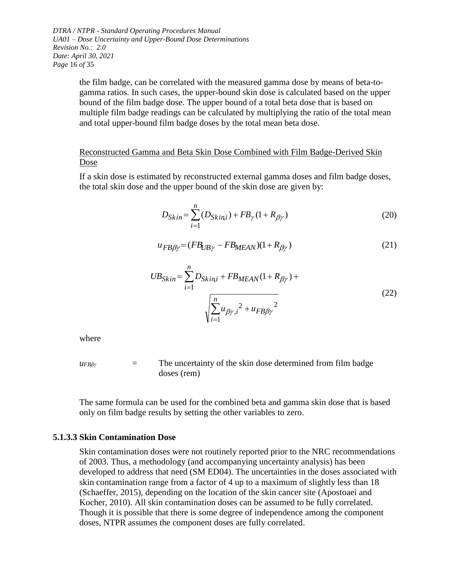*DTRA / NTPR - Standard Operating Procedures Manual UA01 – Dose Uncertainty and Upper-Bound Dose Determinations Revision No.: 2.0 Date: April 30, 2021 Page* 16 *of* 35

> the film badge, can be correlated with the measured gamma dose by means of beta-togamma ratios. In such cases, the upper-bound skin dose is calculated based on the upper bound of the film badge dose. The upper bound of a total beta dose that is based on multiple film badge readings can be calculated by multiplying the ratio of the total mean and total upper-bound film badge doses by the total mean beta dose.

### Reconstructed Gamma and Beta Skin Dose Combined with Film Badge-Derived Skin Dose

If a skin dose is estimated by reconstructed external gamma doses and film badge doses, the total skin dose and the upper bound of the skin dose are given by:

$$
D_{Skin} = \sum_{i=1}^{n} (D_{Skin,i}) + FB_{\gamma}(1 + R_{\beta\gamma})
$$
 (20)

$$
u_{FB\beta\gamma} = (FB_{UB\gamma} - FB_{MEAN})(1 + R_{\beta\gamma})\tag{21}
$$

$$
UB_{Skin} = \sum_{i=1}^{n} D_{Skin,i} + FB_{MEAN}(1 + R_{\beta\gamma}) + \sqrt{\sum_{i=1}^{n} u_{\beta\gamma,i}^{2} + u_{FB\beta\gamma}^{2}}
$$
(22)

where

$$
u_{FB\beta\gamma} = \text{The uncertainty of the skin dose determined from film badge} \text{doses (rem)}
$$

The same formula can be used for the combined beta and gamma skin dose that is based only on film badge results by setting the other variables to zero.

#### **5.1.3.3 Skin Contamination Dose**

Skin contamination doses were not routinely reported prior to the NRC recommendations of 2003. Thus, a methodology (and accompanying uncertainty analysis) has been developed to address that need (SM ED04). The uncertainties in the doses associated with skin contamination range from a factor of 4 up to a maximum of slightly less than 18 (Schaeffer, 2015), depending on the location of the skin cancer site (Apostoaei and Kocher, 2010). All skin contamination doses can be assumed to be fully correlated. Though it is possible that there is some degree of independence among the component doses, NTPR assumes the component doses are fully correlated.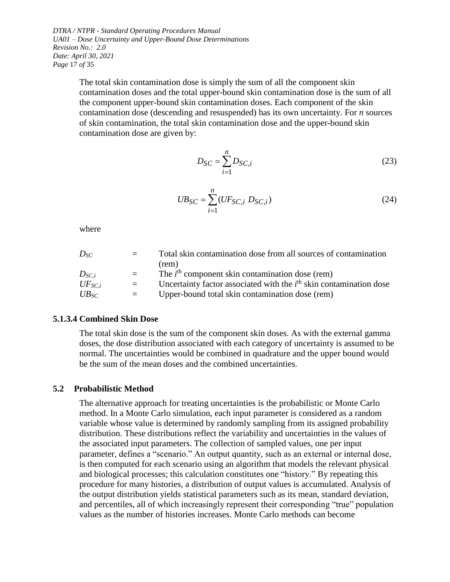*DTRA / NTPR - Standard Operating Procedures Manual UA01 – Dose Uncertainty and Upper-Bound Dose Determinations Revision No.: 2.0 Date: April 30, 2021 Page* 17 *of* 35

> The total skin contamination dose is simply the sum of all the component skin contamination doses and the total upper-bound skin contamination dose is the sum of all the component upper-bound skin contamination doses. Each component of the skin contamination dose (descending and resuspended) has its own uncertainty. For *n* sources of skin contamination, the total skin contamination dose and the upper-bound skin contamination dose are given by:

$$
D_{SC} = \sum_{i=1}^{n} D_{SC,i}
$$
 (23)

$$
UB_{SC} = \sum_{i=1}^{n} (UF_{SC,i} D_{SC,i})
$$
 (24)

where

| $D_{SC}$    | $=$ $-$  | Total skin contamination dose from all sources of contamination      |
|-------------|----------|----------------------------------------------------------------------|
|             |          | (rem)                                                                |
| $D_{SC,i}$  | $=$ $-$  | The $ith$ component skin contamination dose (rem)                    |
| $UF_{SC,i}$ | $\equiv$ | Uncertainty factor associated with the $ith$ skin contamination dose |
| $UB_{SC}$   | $=$      | Upper-bound total skin contamination dose (rem)                      |

#### **5.1.3.4 Combined Skin Dose**

The total skin dose is the sum of the component skin doses. As with the external gamma doses, the dose distribution associated with each category of uncertainty is assumed to be normal. The uncertainties would be combined in quadrature and the upper bound would be the sum of the mean doses and the combined uncertainties.

#### <span id="page-16-0"></span>**5.2 Probabilistic Method**

The alternative approach for treating uncertainties is the probabilistic or Monte Carlo method. In a Monte Carlo simulation, each input parameter is considered as a random variable whose value is determined by randomly sampling from its assigned probability distribution. These distributions reflect the variability and uncertainties in the values of the associated input parameters. The collection of sampled values, one per input parameter, defines a "scenario." An output quantity, such as an external or internal dose, is then computed for each scenario using an algorithm that models the relevant physical and biological processes; this calculation constitutes one "history." By repeating this procedure for many histories, a distribution of output values is accumulated. Analysis of the output distribution yields statistical parameters such as its mean, standard deviation, and percentiles, all of which increasingly represent their corresponding "true" population values as the number of histories increases. Monte Carlo methods can become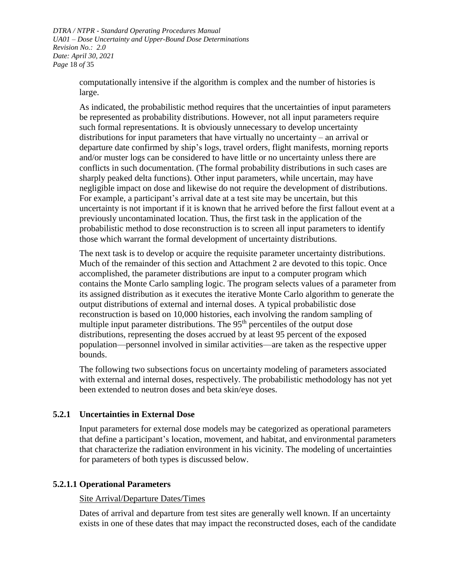*DTRA / NTPR - Standard Operating Procedures Manual UA01 – Dose Uncertainty and Upper-Bound Dose Determinations Revision No.: 2.0 Date: April 30, 2021 Page* 18 *of* 35

> computationally intensive if the algorithm is complex and the number of histories is large.

As indicated, the probabilistic method requires that the uncertainties of input parameters be represented as probability distributions. However, not all input parameters require such formal representations. It is obviously unnecessary to develop uncertainty distributions for input parameters that have virtually no uncertainty – an arrival or departure date confirmed by ship's logs, travel orders, flight manifests, morning reports and/or muster logs can be considered to have little or no uncertainty unless there are conflicts in such documentation. (The formal probability distributions in such cases are sharply peaked delta functions). Other input parameters, while uncertain, may have negligible impact on dose and likewise do not require the development of distributions. For example, a participant's arrival date at a test site may be uncertain, but this uncertainty is not important if it is known that he arrived before the first fallout event at a previously uncontaminated location. Thus, the first task in the application of the probabilistic method to dose reconstruction is to screen all input parameters to identify those which warrant the formal development of uncertainty distributions.

The next task is to develop or acquire the requisite parameter uncertainty distributions. Much of the remainder of this section and Attachment 2 are devoted to this topic. Once accomplished, the parameter distributions are input to a computer program which contains the Monte Carlo sampling logic. The program selects values of a parameter from its assigned distribution as it executes the iterative Monte Carlo algorithm to generate the output distributions of external and internal doses. A typical probabilistic dose reconstruction is based on 10,000 histories, each involving the random sampling of multiple input parameter distributions. The  $95<sup>th</sup>$  percentiles of the output dose distributions, representing the doses accrued by at least 95 percent of the exposed population—personnel involved in similar activities—are taken as the respective upper bounds.

The following two subsections focus on uncertainty modeling of parameters associated with external and internal doses, respectively. The probabilistic methodology has not yet been extended to neutron doses and beta skin/eye doses.

## <span id="page-17-0"></span>**5.2.1 Uncertainties in External Dose**

Input parameters for external dose models may be categorized as operational parameters that define a participant's location, movement, and habitat, and environmental parameters that characterize the radiation environment in his vicinity. The modeling of uncertainties for parameters of both types is discussed below.

## **5.2.1.1 Operational Parameters**

#### Site Arrival/Departure Dates/Times

Dates of arrival and departure from test sites are generally well known. If an uncertainty exists in one of these dates that may impact the reconstructed doses, each of the candidate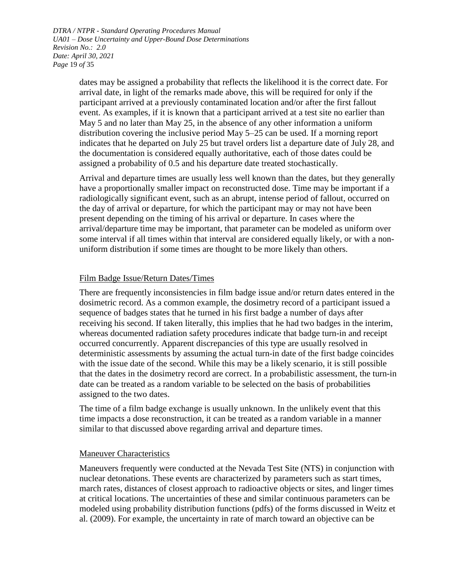*DTRA / NTPR - Standard Operating Procedures Manual UA01 – Dose Uncertainty and Upper-Bound Dose Determinations Revision No.: 2.0 Date: April 30, 2021 Page* 19 *of* 35

> dates may be assigned a probability that reflects the likelihood it is the correct date. For arrival date, in light of the remarks made above, this will be required for only if the participant arrived at a previously contaminated location and/or after the first fallout event. As examples, if it is known that a participant arrived at a test site no earlier than May 5 and no later than May 25, in the absence of any other information a uniform distribution covering the inclusive period May 5–25 can be used. If a morning report indicates that he departed on July 25 but travel orders list a departure date of July 28, and the documentation is considered equally authoritative, each of those dates could be assigned a probability of 0.5 and his departure date treated stochastically.

> Arrival and departure times are usually less well known than the dates, but they generally have a proportionally smaller impact on reconstructed dose. Time may be important if a radiologically significant event, such as an abrupt, intense period of fallout, occurred on the day of arrival or departure, for which the participant may or may not have been present depending on the timing of his arrival or departure. In cases where the arrival/departure time may be important, that parameter can be modeled as uniform over some interval if all times within that interval are considered equally likely, or with a nonuniform distribution if some times are thought to be more likely than others.

#### Film Badge Issue/Return Dates/Times

There are frequently inconsistencies in film badge issue and/or return dates entered in the dosimetric record. As a common example, the dosimetry record of a participant issued a sequence of badges states that he turned in his first badge a number of days after receiving his second. If taken literally, this implies that he had two badges in the interim, whereas documented radiation safety procedures indicate that badge turn-in and receipt occurred concurrently. Apparent discrepancies of this type are usually resolved in deterministic assessments by assuming the actual turn-in date of the first badge coincides with the issue date of the second. While this may be a likely scenario, it is still possible that the dates in the dosimetry record are correct. In a probabilistic assessment, the turn-in date can be treated as a random variable to be selected on the basis of probabilities assigned to the two dates.

The time of a film badge exchange is usually unknown. In the unlikely event that this time impacts a dose reconstruction, it can be treated as a random variable in a manner similar to that discussed above regarding arrival and departure times.

#### Maneuver Characteristics

Maneuvers frequently were conducted at the Nevada Test Site (NTS) in conjunction with nuclear detonations. These events are characterized by parameters such as start times, march rates, distances of closest approach to radioactive objects or sites, and linger times at critical locations. The uncertainties of these and similar continuous parameters can be modeled using probability distribution functions (pdfs) of the forms discussed in Weitz et al. (2009). For example, the uncertainty in rate of march toward an objective can be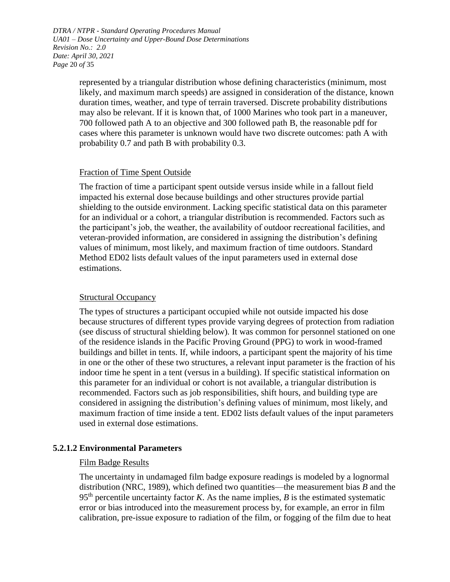*DTRA / NTPR - Standard Operating Procedures Manual UA01 – Dose Uncertainty and Upper-Bound Dose Determinations Revision No.: 2.0 Date: April 30, 2021 Page* 20 *of* 35

> represented by a triangular distribution whose defining characteristics (minimum, most likely, and maximum march speeds) are assigned in consideration of the distance, known duration times, weather, and type of terrain traversed. Discrete probability distributions may also be relevant. If it is known that, of 1000 Marines who took part in a maneuver, 700 followed path A to an objective and 300 followed path B, the reasonable pdf for cases where this parameter is unknown would have two discrete outcomes: path A with probability 0.7 and path B with probability 0.3.

#### Fraction of Time Spent Outside

The fraction of time a participant spent outside versus inside while in a fallout field impacted his external dose because buildings and other structures provide partial shielding to the outside environment. Lacking specific statistical data on this parameter for an individual or a cohort, a triangular distribution is recommended. Factors such as the participant's job, the weather, the availability of outdoor recreational facilities, and veteran-provided information, are considered in assigning the distribution's defining values of minimum, most likely, and maximum fraction of time outdoors. Standard Method ED02 lists default values of the input parameters used in external dose estimations.

#### Structural Occupancy

The types of structures a participant occupied while not outside impacted his dose because structures of different types provide varying degrees of protection from radiation (see discuss of structural shielding below). It was common for personnel stationed on one of the residence islands in the Pacific Proving Ground (PPG) to work in wood-framed buildings and billet in tents. If, while indoors, a participant spent the majority of his time in one or the other of these two structures, a relevant input parameter is the fraction of his indoor time he spent in a tent (versus in a building). If specific statistical information on this parameter for an individual or cohort is not available, a triangular distribution is recommended. Factors such as job responsibilities, shift hours, and building type are considered in assigning the distribution's defining values of minimum, most likely, and maximum fraction of time inside a tent. ED02 lists default values of the input parameters used in external dose estimations.

#### **5.2.1.2 Environmental Parameters**

#### Film Badge Results

The uncertainty in undamaged film badge exposure readings is modeled by a lognormal distribution (NRC, 1989), which defined two quantities—the measurement bias *B* and the  $95<sup>th</sup>$  percentile uncertainty factor *K*. As the name implies, *B* is the estimated systematic error or bias introduced into the measurement process by, for example, an error in film calibration, pre-issue exposure to radiation of the film, or fogging of the film due to heat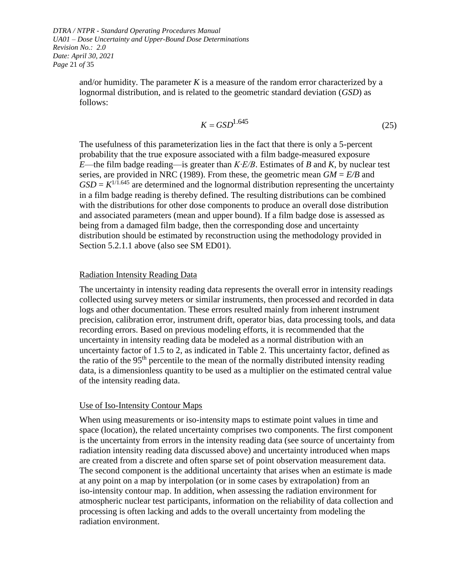*DTRA / NTPR - Standard Operating Procedures Manual UA01 – Dose Uncertainty and Upper-Bound Dose Determinations Revision No.: 2.0 Date: April 30, 2021 Page* 21 *of* 35

> and/or humidity. The parameter  $K$  is a measure of the random error characterized by a lognormal distribution, and is related to the geometric standard deviation (*GSD*) as follows:

$$
K = GSD1.645
$$
 (25)

The usefulness of this parameterization lies in the fact that there is only a 5-percent probability that the true exposure associated with a film badge-measured exposure *E*—the film badge reading—is greater than *K∙E/B*. Estimates of *B* and *K*, by nuclear test series, are provided in NRC (1989). From these, the geometric mean  $GM = E/B$  and  $GSD = K^{1/1.645}$  are determined and the lognormal distribution representing the uncertainty in a film badge reading is thereby defined. The resulting distributions can be combined with the distributions for other dose components to produce an overall dose distribution and associated parameters (mean and upper bound). If a film badge dose is assessed as being from a damaged film badge, then the corresponding dose and uncertainty distribution should be estimated by reconstruction using the methodology provided in Section 5.2.1.1 above (also see SM ED01).

#### Radiation Intensity Reading Data

The uncertainty in intensity reading data represents the overall error in intensity readings collected using survey meters or similar instruments, then processed and recorded in data logs and other documentation. These errors resulted mainly from inherent instrument precision, calibration error, instrument drift, operator bias, data processing tools, and data recording errors. Based on previous modeling efforts, it is recommended that the uncertainty in intensity reading data be modeled as a normal distribution with an uncertainty factor of 1.5 to 2, as indicated in [Table 2.](#page-21-0) This uncertainty factor, defined as the ratio of the 95<sup>th</sup> percentile to the mean of the normally distributed intensity reading data, is a dimensionless quantity to be used as a multiplier on the estimated central value of the intensity reading data.

#### Use of Iso-Intensity Contour Maps

When using measurements or iso-intensity maps to estimate point values in time and space (location), the related uncertainty comprises two components. The first component is the uncertainty from errors in the intensity reading data (see source of uncertainty from radiation intensity reading data discussed above) and uncertainty introduced when maps are created from a discrete and often sparse set of point observation measurement data. The second component is the additional uncertainty that arises when an estimate is made at any point on a map by interpolation (or in some cases by extrapolation) from an iso-intensity contour map. In addition, when assessing the radiation environment for atmospheric nuclear test participants, information on the reliability of data collection and processing is often lacking and adds to the overall uncertainty from modeling the radiation environment.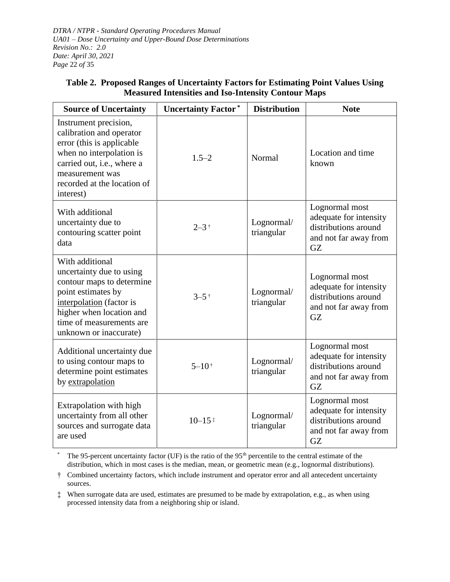*DTRA / NTPR - Standard Operating Procedures Manual UA01 – Dose Uncertainty and Upper-Bound Dose Determinations Revision No.: 2.0 Date: April 30, 2021 Page* 22 *of* 35

| <b>Source of Uncertainty</b>                                                                                                                                                                                 | <b>Uncertainty Factor*</b> | <b>Distribution</b>      | <b>Note</b>                                                                                     |
|--------------------------------------------------------------------------------------------------------------------------------------------------------------------------------------------------------------|----------------------------|--------------------------|-------------------------------------------------------------------------------------------------|
| Instrument precision,<br>calibration and operator<br>error (this is applicable<br>when no interpolation is<br>carried out, i.e., where a<br>measurement was<br>recorded at the location of<br>interest)      | $1.5 - 2$                  | Normal                   | Location and time<br>known                                                                      |
| With additional<br>uncertainty due to<br>contouring scatter point<br>data                                                                                                                                    | $2 - 3$ †                  | Lognormal/<br>triangular | Lognormal most<br>adequate for intensity<br>distributions around<br>and not far away from<br>GZ |
| With additional<br>uncertainty due to using<br>contour maps to determine<br>point estimates by<br>interpolation (factor is<br>higher when location and<br>time of measurements are<br>unknown or inaccurate) | $3 - 5$ †                  | Lognormal/<br>triangular | Lognormal most<br>adequate for intensity<br>distributions around<br>and not far away from<br>GZ |
| Additional uncertainty due<br>to using contour maps to<br>determine point estimates<br>by extrapolation                                                                                                      | $5 - 10$ <sup>†</sup>      | Lognormal/<br>triangular | Lognormal most<br>adequate for intensity<br>distributions around<br>and not far away from<br>GZ |
| Extrapolation with high<br>uncertainty from all other<br>sources and surrogate data<br>are used                                                                                                              | $10 - 15$ *                | Lognormal/<br>triangular | Lognormal most<br>adequate for intensity<br>distributions around<br>and not far away from<br>GZ |

## <span id="page-21-0"></span>**Table 2. Proposed Ranges of Uncertainty Factors for Estimating Point Values Using Measured Intensities and Iso-Intensity Contour Maps**

The 95-percent uncertainty factor (UF) is the ratio of the 95<sup>th</sup> percentile to the central estimate of the distribution, which in most cases is the median, mean, or geometric mean (e.g., lognormal distributions).

† Combined uncertainty factors, which include instrument and operator error and all antecedent uncertainty sources.

‡ When surrogate data are used, estimates are presumed to be made by extrapolation, e.g., as when using processed intensity data from a neighboring ship or island.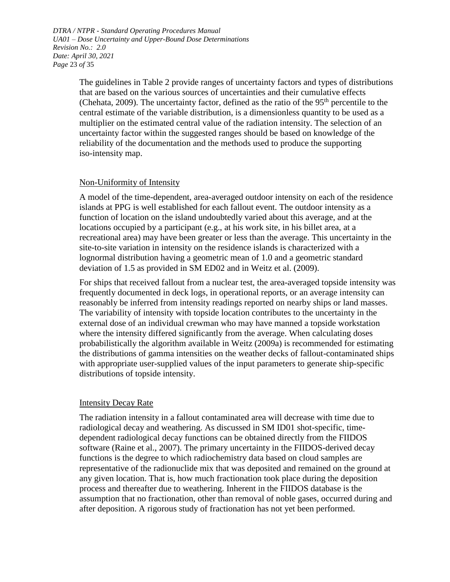*DTRA / NTPR - Standard Operating Procedures Manual UA01 – Dose Uncertainty and Upper-Bound Dose Determinations Revision No.: 2.0 Date: April 30, 2021 Page* 23 *of* 35

> The guidelines in [Table 2](#page-21-0) provide ranges of uncertainty factors and types of distributions that are based on the various sources of uncertainties and their cumulative effects (Chehata, 2009). The uncertainty factor, defined as the ratio of the  $95<sup>th</sup>$  percentile to the central estimate of the variable distribution, is a dimensionless quantity to be used as a multiplier on the estimated central value of the radiation intensity. The selection of an uncertainty factor within the suggested ranges should be based on knowledge of the reliability of the documentation and the methods used to produce the supporting iso-intensity map.

#### Non-Uniformity of Intensity

A model of the time-dependent, area-averaged outdoor intensity on each of the residence islands at PPG is well established for each fallout event. The outdoor intensity as a function of location on the island undoubtedly varied about this average, and at the locations occupied by a participant (e.g., at his work site, in his billet area, at a recreational area) may have been greater or less than the average. This uncertainty in the site-to-site variation in intensity on the residence islands is characterized with a lognormal distribution having a geometric mean of 1.0 and a geometric standard deviation of 1.5 as provided in SM ED02 and in Weitz et al. (2009).

For ships that received fallout from a nuclear test, the area-averaged topside intensity was frequently documented in deck logs, in operational reports, or an average intensity can reasonably be inferred from intensity readings reported on nearby ships or land masses. The variability of intensity with topside location contributes to the uncertainty in the external dose of an individual crewman who may have manned a topside workstation where the intensity differed significantly from the average. When calculating doses probabilistically the algorithm available in Weitz (2009a) is recommended for estimating the distributions of gamma intensities on the weather decks of fallout-contaminated ships with appropriate user-supplied values of the input parameters to generate ship-specific distributions of topside intensity.

#### Intensity Decay Rate

The radiation intensity in a fallout contaminated area will decrease with time due to radiological decay and weathering. As discussed in SM ID01 shot-specific, timedependent radiological decay functions can be obtained directly from the FIIDOS software (Raine et al., 2007). The primary uncertainty in the FIIDOS-derived decay functions is the degree to which radiochemistry data based on cloud samples are representative of the radionuclide mix that was deposited and remained on the ground at any given location. That is, how much fractionation took place during the deposition process and thereafter due to weathering. Inherent in the FIIDOS database is the assumption that no fractionation, other than removal of noble gases, occurred during and after deposition. A rigorous study of fractionation has not yet been performed.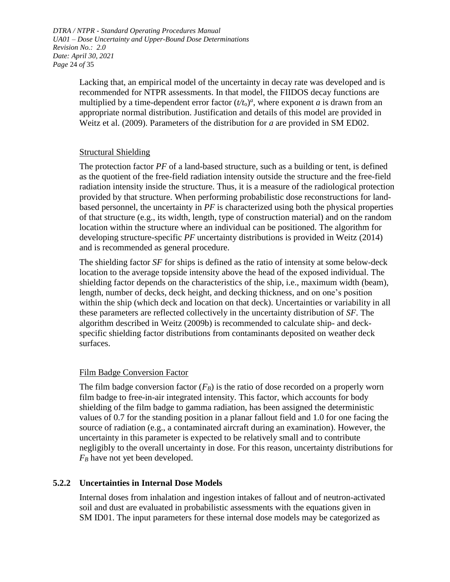*DTRA / NTPR - Standard Operating Procedures Manual UA01 – Dose Uncertainty and Upper-Bound Dose Determinations Revision No.: 2.0 Date: April 30, 2021 Page* 24 *of* 35

> Lacking that, an empirical model of the uncertainty in decay rate was developed and is recommended for NTPR assessments. In that model, the FIIDOS decay functions are multiplied by a time-dependent error factor  $(t/t_0)^a$ , where exponent *a* is drawn from an appropriate normal distribution. Justification and details of this model are provided in Weitz et al. (2009). Parameters of the distribution for *a* are provided in SM ED02.

## Structural Shielding

The protection factor *PF* of a land-based structure, such as a building or tent, is defined as the quotient of the free-field radiation intensity outside the structure and the free-field radiation intensity inside the structure. Thus, it is a measure of the radiological protection provided by that structure. When performing probabilistic dose reconstructions for landbased personnel, the uncertainty in *PF* is characterized using both the physical properties of that structure (e.g., its width, length, type of construction material) and on the random location within the structure where an individual can be positioned. The algorithm for developing structure-specific *PF* uncertainty distributions is provided in Weitz (2014) and is recommended as general procedure.

The shielding factor *SF* for ships is defined as the ratio of intensity at some below-deck location to the average topside intensity above the head of the exposed individual. The shielding factor depends on the characteristics of the ship, i.e., maximum width (beam), length, number of decks, deck height, and decking thickness, and on one's position within the ship (which deck and location on that deck). Uncertainties or variability in all these parameters are reflected collectively in the uncertainty distribution of *SF*. The algorithm described in Weitz (2009b) is recommended to calculate ship- and deckspecific shielding factor distributions from contaminants deposited on weather deck surfaces.

## Film Badge Conversion Factor

The film badge conversion factor  $(F_B)$  is the ratio of dose recorded on a properly worn film badge to free-in-air integrated intensity. This factor, which accounts for body shielding of the film badge to gamma radiation, has been assigned the deterministic values of 0.7 for the standing position in a planar fallout field and 1.0 for one facing the source of radiation (e.g., a contaminated aircraft during an examination). However, the uncertainty in this parameter is expected to be relatively small and to contribute negligibly to the overall uncertainty in dose. For this reason, uncertainty distributions for *F<sup>B</sup>* have not yet been developed.

## <span id="page-23-0"></span>**5.2.2 Uncertainties in Internal Dose Models**

Internal doses from inhalation and ingestion intakes of fallout and of neutron-activated soil and dust are evaluated in probabilistic assessments with the equations given in SM ID01. The input parameters for these internal dose models may be categorized as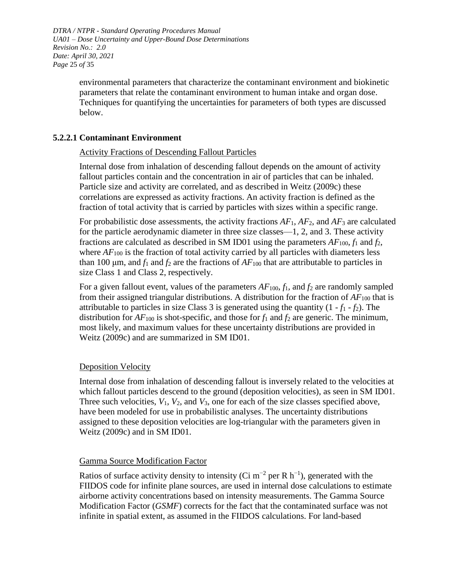*DTRA / NTPR - Standard Operating Procedures Manual UA01 – Dose Uncertainty and Upper-Bound Dose Determinations Revision No.: 2.0 Date: April 30, 2021 Page* 25 *of* 35

> environmental parameters that characterize the contaminant environment and biokinetic parameters that relate the contaminant environment to human intake and organ dose. Techniques for quantifying the uncertainties for parameters of both types are discussed below.

### **5.2.2.1 Contaminant Environment**

#### Activity Fractions of Descending Fallout Particles

Internal dose from inhalation of descending fallout depends on the amount of activity fallout particles contain and the concentration in air of particles that can be inhaled. Particle size and activity are correlated, and as described in Weitz (2009c) these correlations are expressed as activity fractions. An activity fraction is defined as the fraction of total activity that is carried by particles with sizes within a specific range.

For probabilistic dose assessments, the activity fractions *AF*1, *AF*2, and *AF*<sup>3</sup> are calculated for the particle aerodynamic diameter in three size classes—1, 2, and 3. These activity fractions are calculated as described in SM ID01 using the parameters  $AF_{100}$ ,  $f_1$  and  $f_2$ , where  $AF_{100}$  is the fraction of total activity carried by all particles with diameters less than 100  $\mu$ m, and  $f_1$  and  $f_2$  are the fractions of  $AF_{100}$  that are attributable to particles in size Class 1 and Class 2, respectively.

For a given fallout event, values of the parameters  $AF_{100}$ ,  $f_1$ , and  $f_2$  are randomly sampled from their assigned triangular distributions. A distribution for the fraction of  $AF_{100}$  that is attributable to particles in size Class 3 is generated using the quantity  $(1 - f_1 - f_2)$ . The distribution for  $AF_{100}$  is shot-specific, and those for  $f_1$  and  $f_2$  are generic. The minimum, most likely, and maximum values for these uncertainty distributions are provided in Weitz (2009c) and are summarized in SM ID01.

#### Deposition Velocity

Internal dose from inhalation of descending fallout is inversely related to the velocities at which fallout particles descend to the ground (deposition velocities), as seen in SM ID01. Three such velocities,  $V_1$ ,  $V_2$ , and  $V_3$ , one for each of the size classes specified above, have been modeled for use in probabilistic analyses. The uncertainty distributions assigned to these deposition velocities are log-triangular with the parameters given in Weitz (2009c) and in SM ID01.

#### Gamma Source Modification Factor

Ratios of surface activity density to intensity (Ci m<sup>-2</sup> per R h<sup>-1</sup>), generated with the FIIDOS code for infinite plane sources, are used in internal dose calculations to estimate airborne activity concentrations based on intensity measurements. The Gamma Source Modification Factor (*GSMF*) corrects for the fact that the contaminated surface was not infinite in spatial extent, as assumed in the FIIDOS calculations. For land-based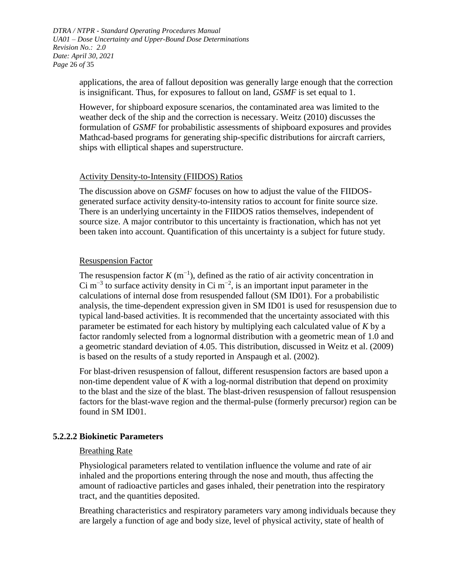*DTRA / NTPR - Standard Operating Procedures Manual UA01 – Dose Uncertainty and Upper-Bound Dose Determinations Revision No.: 2.0 Date: April 30, 2021 Page* 26 *of* 35

> applications, the area of fallout deposition was generally large enough that the correction is insignificant. Thus, for exposures to fallout on land, *GSMF* is set equal to 1.

> However, for shipboard exposure scenarios, the contaminated area was limited to the weather deck of the ship and the correction is necessary. Weitz (2010) discusses the formulation of *GSMF* for probabilistic assessments of shipboard exposures and provides Mathcad-based programs for generating ship-specific distributions for aircraft carriers, ships with elliptical shapes and superstructure.

#### Activity Density-to-Intensity (FIIDOS) Ratios

The discussion above on *GSMF* focuses on how to adjust the value of the FIIDOSgenerated surface activity density-to-intensity ratios to account for finite source size. There is an underlying uncertainty in the FIIDOS ratios themselves, independent of source size. A major contributor to this uncertainty is fractionation, which has not yet been taken into account. Quantification of this uncertainty is a subject for future study.

#### Resuspension Factor

The resuspension factor  $K$  (m<sup>-1</sup>), defined as the ratio of air activity concentration in Ci m<sup>-3</sup> to surface activity density in Ci m<sup>-2</sup>, is an important input parameter in the calculations of internal dose from resuspended fallout (SM ID01). For a probabilistic analysis, the time-dependent expression given in SM ID01 is used for resuspension due to typical land-based activities. It is recommended that the uncertainty associated with this parameter be estimated for each history by multiplying each calculated value of *K* by a factor randomly selected from a lognormal distribution with a geometric mean of 1.0 and a geometric standard deviation of 4.05. This distribution, discussed in Weitz et al. (2009) is based on the results of a study reported in Anspaugh et al. (2002).

For blast-driven resuspension of fallout, different resuspension factors are based upon a non-time dependent value of *K* with a log-normal distribution that depend on proximity to the blast and the size of the blast. The blast-driven resuspension of fallout resuspension factors for the blast-wave region and the thermal-pulse (formerly precursor) region can be found in SM ID01.

## **5.2.2.2 Biokinetic Parameters**

#### Breathing Rate

Physiological parameters related to ventilation influence the volume and rate of air inhaled and the proportions entering through the nose and mouth, thus affecting the amount of radioactive particles and gases inhaled, their penetration into the respiratory tract, and the quantities deposited.

Breathing characteristics and respiratory parameters vary among individuals because they are largely a function of age and body size, level of physical activity, state of health of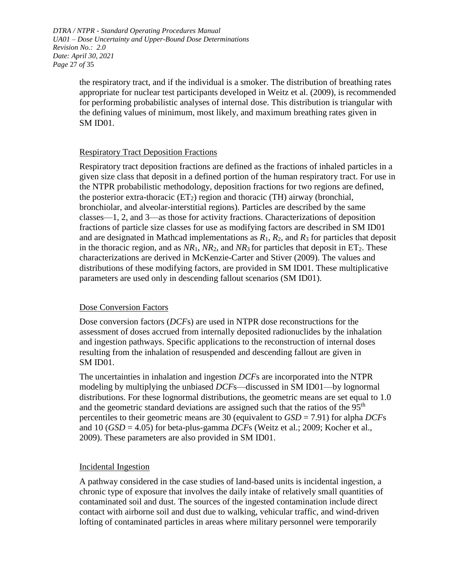*DTRA / NTPR - Standard Operating Procedures Manual UA01 – Dose Uncertainty and Upper-Bound Dose Determinations Revision No.: 2.0 Date: April 30, 2021 Page* 27 *of* 35

> the respiratory tract, and if the individual is a smoker. The distribution of breathing rates appropriate for nuclear test participants developed in Weitz et al. (2009), is recommended for performing probabilistic analyses of internal dose. This distribution is triangular with the defining values of minimum, most likely, and maximum breathing rates given in SM ID01.

## Respiratory Tract Deposition Fractions

Respiratory tract deposition fractions are defined as the fractions of inhaled particles in a given size class that deposit in a defined portion of the human respiratory tract. For use in the NTPR probabilistic methodology, deposition fractions for two regions are defined, the posterior extra-thoracic  $(ET_2)$  region and thoracic (TH) airway (bronchial, bronchiolar, and alveolar-interstitial regions). Particles are described by the same classes—1, 2, and 3—as those for activity fractions. Characterizations of deposition fractions of particle size classes for use as modifying factors are described in SM ID01 and are designated in Mathcad implementations as  $R_1$ ,  $R_2$ , and  $R_3$  for particles that deposit in the thoracic region, and as  $NR_1$ ,  $NR_2$ , and  $NR_3$  for particles that deposit in  $ET_2$ . These characterizations are derived in McKenzie-Carter and Stiver (2009). The values and distributions of these modifying factors, are provided in SM ID01. These multiplicative parameters are used only in descending fallout scenarios (SM ID01).

#### Dose Conversion Factors

Dose conversion factors (*DCF*s) are used in NTPR dose reconstructions for the assessment of doses accrued from internally deposited radionuclides by the inhalation and ingestion pathways. Specific applications to the reconstruction of internal doses resulting from the inhalation of resuspended and descending fallout are given in SM ID01.

The uncertainties in inhalation and ingestion *DCF*s are incorporated into the NTPR modeling by multiplying the unbiased *DCF*s—discussed in SM ID01—by lognormal distributions. For these lognormal distributions, the geometric means are set equal to 1.0 and the geometric standard deviations are assigned such that the ratios of the  $95<sup>th</sup>$ percentiles to their geometric means are 30 (equivalent to *GSD* = 7.91) for alpha *DCF*s and 10 (*GSD* = 4.05) for beta-plus-gamma *DCF*s (Weitz et al.; 2009; Kocher et al., 2009). These parameters are also provided in SM ID01.

#### Incidental Ingestion

A pathway considered in the case studies of land-based units is incidental ingestion, a chronic type of exposure that involves the daily intake of relatively small quantities of contaminated soil and dust. The sources of the ingested contamination include direct contact with airborne soil and dust due to walking, vehicular traffic, and wind-driven lofting of contaminated particles in areas where military personnel were temporarily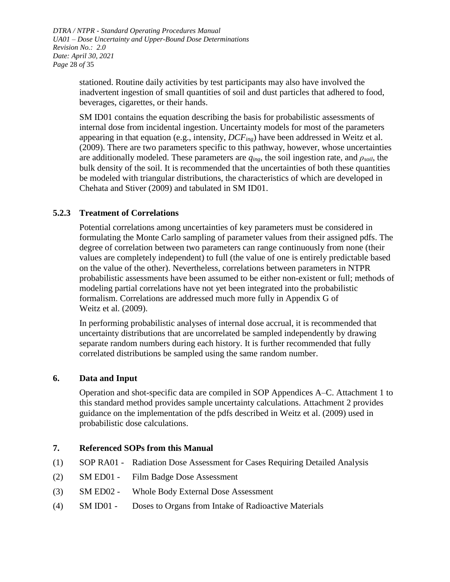*DTRA / NTPR - Standard Operating Procedures Manual UA01 – Dose Uncertainty and Upper-Bound Dose Determinations Revision No.: 2.0 Date: April 30, 2021 Page* 28 *of* 35

> stationed. Routine daily activities by test participants may also have involved the inadvertent ingestion of small quantities of soil and dust particles that adhered to food, beverages, cigarettes, or their hands.

SM ID01 contains the equation describing the basis for probabilistic assessments of internal dose from incidental ingestion. Uncertainty models for most of the parameters appearing in that equation (e.g., intensity, *DCFing*) have been addressed in Weitz et al. (2009). There are two parameters specific to this pathway, however, whose uncertainties are additionally modeled. These parameters are *qing*, the soil ingestion rate, and *ρsoil*, the bulk density of the soil. It is recommended that the uncertainties of both these quantities be modeled with triangular distributions, the characteristics of which are developed in Chehata and Stiver (2009) and tabulated in SM ID01.

## <span id="page-27-0"></span>**5.2.3 Treatment of Correlations**

Potential correlations among uncertainties of key parameters must be considered in formulating the Monte Carlo sampling of parameter values from their assigned pdfs. The degree of correlation between two parameters can range continuously from none (their values are completely independent) to full (the value of one is entirely predictable based on the value of the other). Nevertheless, correlations between parameters in NTPR probabilistic assessments have been assumed to be either non-existent or full; methods of modeling partial correlations have not yet been integrated into the probabilistic formalism. Correlations are addressed much more fully in Appendix G of Weitz et al. (2009).

In performing probabilistic analyses of internal dose accrual, it is recommended that uncertainty distributions that are uncorrelated be sampled independently by drawing separate random numbers during each history. It is further recommended that fully correlated distributions be sampled using the same random number.

#### <span id="page-27-1"></span>**6. Data and Input**

Operation and shot-specific data are compiled in SOP Appendices A–C. Attachment 1 to this standard method provides sample uncertainty calculations. Attachment 2 provides guidance on the implementation of the pdfs described in Weitz et al. (2009) used in probabilistic dose calculations.

#### <span id="page-27-2"></span>**7. Referenced SOPs from this Manual**

- (1) SOP RA01 Radiation Dose Assessment for Cases Requiring Detailed Analysis
- (2) SM ED01 Film Badge Dose Assessment
- (3) SM ED02 Whole Body External Dose Assessment
- (4) SM ID01 Doses to Organs from Intake of Radioactive Materials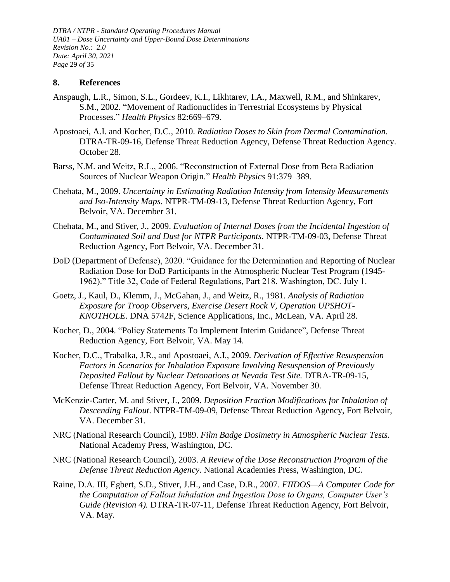*DTRA / NTPR - Standard Operating Procedures Manual UA01 – Dose Uncertainty and Upper-Bound Dose Determinations Revision No.: 2.0 Date: April 30, 2021 Page* 29 *of* 35

#### <span id="page-28-0"></span>**8. References**

- Anspaugh, L.R., Simon, S.L., Gordeev, K.I., Likhtarev, I.A., Maxwell, R.M., and Shinkarev, S.M., 2002. "Movement of Radionuclides in Terrestrial Ecosystems by Physical Processes." *Health Physics* 82:669–679.
- Apostoaei, A.I. and Kocher, D.C., 2010. *Radiation Doses to Skin from Dermal Contamination.* DTRA-TR-09-16, Defense Threat Reduction Agency, Defense Threat Reduction Agency. October 28.
- Barss, N.M. and Weitz, R.L., 2006. "Reconstruction of External Dose from Beta Radiation Sources of Nuclear Weapon Origin." *Health Physics* 91:379–389.
- Chehata, M., 2009. *Uncertainty in Estimating Radiation Intensity from Intensity Measurements and Iso-Intensity Maps*. NTPR-TM-09-13, Defense Threat Reduction Agency, Fort Belvoir, VA. December 31.
- Chehata, M., and Stiver, J., 2009. *Evaluation of Internal Doses from the Incidental Ingestion of Contaminated Soil and Dust for NTPR Participants*. NTPR-TM-09-03, Defense Threat Reduction Agency, Fort Belvoir, VA. December 31.
- DoD (Department of Defense), 2020. "Guidance for the Determination and Reporting of Nuclear Radiation Dose for DoD Participants in the Atmospheric Nuclear Test Program (1945- 1962)." Title 32, Code of Federal Regulations, Part 218. Washington, DC. July 1.
- Goetz, J., Kaul, D., Klemm, J., McGahan, J., and Weitz, R., 1981. *Analysis of Radiation Exposure for Troop Observers, Exercise Desert Rock V, Operation UPSHOT-KNOTHOLE*. DNA 5742F, Science Applications, Inc., McLean, VA. April 28.
- Kocher, D., 2004. "Policy Statements To Implement Interim Guidance", Defense Threat Reduction Agency, Fort Belvoir, VA. May 14.
- Kocher, D.C., Trabalka, J.R., and Apostoaei, A.I., 2009. *Derivation of Effective Resuspension Factors in Scenarios for Inhalation Exposure Involving Resuspension of Previously Deposited Fallout by Nuclear Detonations at Nevada Test Site.* DTRA-TR-09-15, Defense Threat Reduction Agency, Fort Belvoir, VA. November 30.
- McKenzie-Carter, M. and Stiver, J., 2009. *Deposition Fraction Modifications for Inhalation of Descending Fallout*. NTPR-TM-09-09, Defense Threat Reduction Agency, Fort Belvoir, VA. December 31.
- NRC (National Research Council), 1989. *Film Badge Dosimetry in Atmospheric Nuclear Tests.* National Academy Press, Washington, DC.
- NRC (National Research Council), 2003. *A Review of the Dose Reconstruction Program of the Defense Threat Reduction Agency*. National Academies Press, Washington, DC.
- Raine, D.A. III, Egbert, S.D., Stiver, J.H., and Case, D.R., 2007. *FIIDOS—A Computer Code for the Computation of Fallout Inhalation and Ingestion Dose to Organs, Computer User's Guide (Revision 4).* DTRA-TR-07-11, Defense Threat Reduction Agency, Fort Belvoir, VA. May.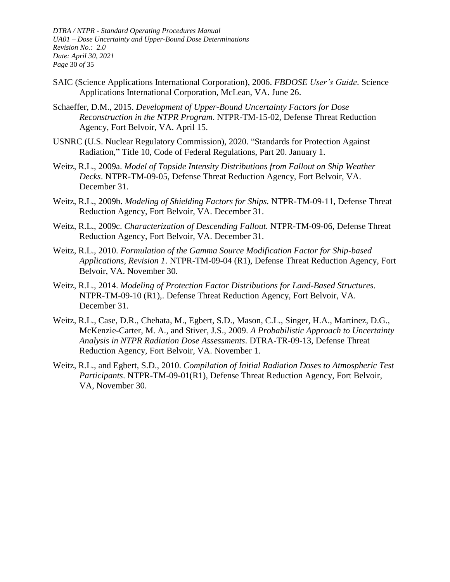*DTRA / NTPR - Standard Operating Procedures Manual UA01 – Dose Uncertainty and Upper-Bound Dose Determinations Revision No.: 2.0 Date: April 30, 2021 Page* 30 *of* 35

- SAIC (Science Applications International Corporation), 2006. *FBDOSE User's Guide*. Science Applications International Corporation, McLean, VA. June 26.
- Schaeffer, D.M., 2015. *Development of Upper-Bound Uncertainty Factors for Dose Reconstruction in the NTPR Program*. NTPR-TM-15-02, Defense Threat Reduction Agency, Fort Belvoir, VA. April 15.
- USNRC (U.S. Nuclear Regulatory Commission), 2020. "Standards for Protection Against Radiation," Title 10, Code of Federal Regulations, Part 20. January 1.
- Weitz, R.L., 2009a. *Model of Topside Intensity Distributions from Fallout on Ship Weather Decks*. NTPR-TM-09-05, Defense Threat Reduction Agency, Fort Belvoir, VA. December 31.
- Weitz, R.L., 2009b. *Modeling of Shielding Factors for Ships.* NTPR-TM-09-11, Defense Threat Reduction Agency, Fort Belvoir, VA. December 31.
- Weitz, R.L., 2009c. *Characterization of Descending Fallout.* NTPR-TM-09-06, Defense Threat Reduction Agency, Fort Belvoir, VA. December 31.
- Weitz, R.L., 2010. *Formulation of the Gamma Source Modification Factor for Ship-based Applications, Revision 1*. NTPR-TM-09-04 (R1), Defense Threat Reduction Agency, Fort Belvoir, VA. November 30.
- Weitz, R.L., 2014. *Modeling of Protection Factor Distributions for Land-Based Structures*. NTPR-TM-09-10 (R1),. Defense Threat Reduction Agency, Fort Belvoir, VA. December 31.
- Weitz, R.L., Case, D.R., Chehata, M., Egbert, S.D., Mason, C.L., Singer, H.A., Martinez, D.G., McKenzie-Carter, M. A., and Stiver, J.S., 2009. *A Probabilistic Approach to Uncertainty Analysis in NTPR Radiation Dose Assessments*. DTRA-TR-09-13, Defense Threat Reduction Agency, Fort Belvoir, VA. November 1.
- Weitz, R.L., and Egbert, S.D., 2010. *Compilation of Initial Radiation Doses to Atmospheric Test Participants*. NTPR-TM-09-01(R1), Defense Threat Reduction Agency, Fort Belvoir, VA, November 30.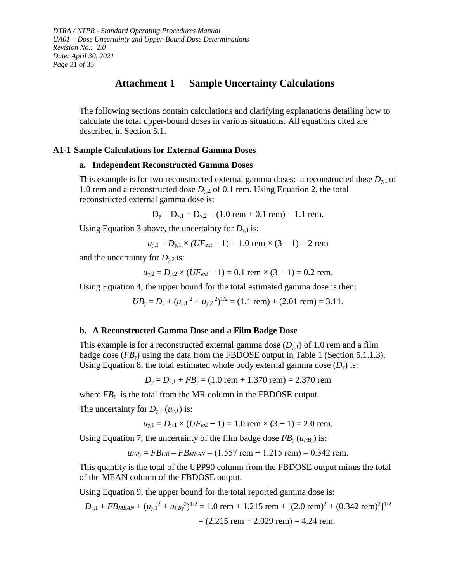*DTRA / NTPR - Standard Operating Procedures Manual UA01 – Dose Uncertainty and Upper-Bound Dose Determinations Revision No.: 2.0 Date: April 30, 2021 Page* 31 *of* 35

## **Attachment 1 Sample Uncertainty Calculations**

<span id="page-30-0"></span>The following sections contain calculations and clarifying explanations detailing how to calculate the total upper-bound doses in various situations. All equations cited are described in Section [5.1.](#page-5-0)

#### **A1-1 Sample Calculations for External Gamma Doses**

#### **a. Independent Reconstructed Gamma Doses**

This example is for two reconstructed external gamma doses: a reconstructed dose  $D_{\gamma,1}$  of 1.0 rem and a reconstructed dose *Dγ*,2 of 0.1 rem. Using Equation 2, the total reconstructed external gamma dose is:

 $D_{\gamma} = D_{\gamma,1} + D_{\gamma,2} = (1.0$  rem + 0.1 rem) = 1.1 rem.

Using Equation 3 above, the uncertainty for  $D_{\gamma,1}$  is:

$$
u_{\gamma,1} = D_{\gamma,1} \times (UF_{ext} - 1) = 1.0
$$
 rem  $\times (3 - 1) = 2$  rem

and the uncertainty for  $D_{\gamma,2}$  is:

$$
u_{\gamma,2} = D_{\gamma,2} \times (UF_{ext} - 1) = 0.1
$$
 rem  $\times (3 - 1) = 0.2$  rem.

Using Equation 4, the upper bound for the total estimated gamma dose is then:

 $UB_{\gamma} = D_{\gamma} + (u_{\gamma,1}^2 + u_{\gamma,2}^2)^{1/2} = (1.1 \text{ rem}) + (2.01 \text{ rem}) = 3.11.$ 

#### **b. A Reconstructed Gamma Dose and a Film Badge Dose**

This example is for a reconstructed external gamma dose  $(D_{\gamma,1})$  of 1.0 rem and a film badge dose (*FBγ*) using the data from the FBDOSE output in Table 1 (Section [5.1.1.3\)](#page-7-0). Using Equation 8, the total estimated whole body external gamma dose  $(D<sub>y</sub>)$  is:

$$
D_{\gamma} = D_{\gamma,1} + FB_{\gamma} = (1.0 \text{ rem} + 1.370 \text{ rem}) = 2.370 \text{ rem}
$$

where  $FB<sub>γ</sub>$  is the total from the MR column in the FBDOSE output.

The uncertainty for  $D_{\gamma,1}(u_{\gamma,1})$  is:

$$
u_{\gamma,1} = D_{\gamma,1} \times (UF_{ext} - 1) = 1.0
$$
 rem  $\times (3 - 1) = 2.0$  rem.

Using Equation 7, the uncertainty of the film badge dose *FB<sup>γ</sup>* (*uFBγ*) is:

$$
u_{FB\gamma} = FB_{UB} - FB_{MEAN} = (1.557 \text{ rem} - 1.215 \text{ rem}) = 0.342 \text{ rem}.
$$

This quantity is the total of the UPP90 column from the FBDOSE output minus the total of the MEAN column of the FBDOSE output.

Using Equation 9, the upper bound for the total reported gamma dose is:

$$
D_{\gamma,1} + FB_{MEAN} + (u_{\gamma,1}^2 + u_{FB\gamma}^2)^{1/2} = 1.0 \text{ rem} + 1.215 \text{ rem} + [(2.0 \text{ rem})^2 + (0.342 \text{ rem})^2]^{1/2}
$$
  
= (2.215 rem + 2.029 rem) = 4.24 rem.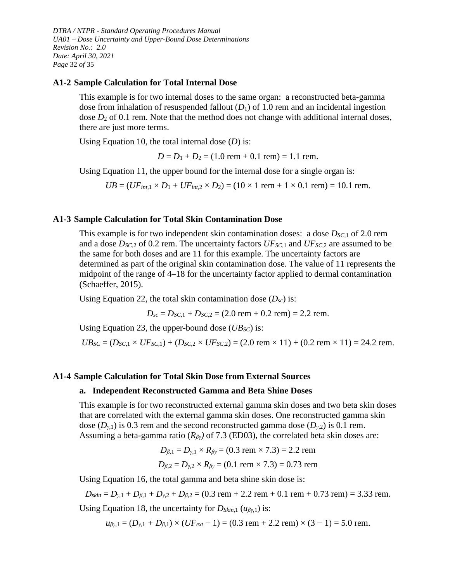*DTRA / NTPR - Standard Operating Procedures Manual UA01 – Dose Uncertainty and Upper-Bound Dose Determinations Revision No.: 2.0 Date: April 30, 2021 Page* 32 *of* 35

#### **A1-2 Sample Calculation for Total Internal Dose**

This example is for two internal doses to the same organ: a reconstructed beta-gamma dose from inhalation of resuspended fallout (*D*1) of 1.0 rem and an incidental ingestion dose  $D_2$  of 0.1 rem. Note that the method does not change with additional internal doses, there are just more terms.

Using Equation 10, the total internal dose (*D*) is:

 $D = D_1 + D_2 = (1.0$  rem + 0.1 rem) = 1.1 rem.

Using Equation 11, the upper bound for the internal dose for a single organ is:

 $UB = (UF_{int,1} \times D_1 + UF_{int,2} \times D_2) = (10 \times 1$  rem +  $1 \times 0.1$  rem) = 10.1 rem.

#### **A1-3 Sample Calculation for Total Skin Contamination Dose**

This example is for two independent skin contamination doses: a dose *DSC*,1 of 2.0 rem and a dose *DSC*,2 of 0.2 rem. The uncertainty factors *UFSC*,1 and *UFSC*,2 are assumed to be the same for both doses and are 11 for this example. The uncertainty factors are determined as part of the original skin contamination dose. The value of 11 represents the midpoint of the range of 4–18 for the uncertainty factor applied to dermal contamination (Schaeffer, 2015).

Using Equation 22, the total skin contamination dose  $(D_{sc})$  is:

 $D_{sc} = D_{SC,1} + D_{SC,2} = (2.0$  rem + 0.2 rem) = 2.2 rem.

Using Equation 23, the upper-bound dose (*UBSC*) is:

 $UB_{SC} = (D_{SC,1} \times UF_{SC,1}) + (D_{SC,2} \times UF_{SC,2}) = (2.0 \text{ rem} \times 11) + (0.2 \text{ rem} \times 11) = 24.2 \text{ rem}.$ 

#### **A1-4 Sample Calculation for Total Skin Dose from External Sources**

#### **a. Independent Reconstructed Gamma and Beta Shine Doses**

This example is for two reconstructed external gamma skin doses and two beta skin doses that are correlated with the external gamma skin doses. One reconstructed gamma skin dose  $(D_{\nu,1})$  is 0.3 rem and the second reconstructed gamma dose  $(D_{\nu,2})$  is 0.1 rem. Assuming a beta-gamma ratio (*Rβγ)* of 7.3 (ED03), the correlated beta skin doses are:

$$
D_{\beta,1} = D_{\gamma,1} \times R_{\beta\gamma} = (0.3 \text{ rem} \times 7.3) = 2.2 \text{ rem}
$$
  
 $D_{\beta,2} = D_{\gamma,2} \times R_{\beta\gamma} = (0.1 \text{ rem} \times 7.3) = 0.73 \text{ rem}$ 

Using Equation 16, the total gamma and beta shine skin dose is:

 $D_{\text{skin}} = D_{\text{y,1}} + D_{\text{B,1}} + D_{\text{y,2}} + D_{\text{B,2}} = (0.3 \text{ rem} + 2.2 \text{ rem} + 0.1 \text{ rem} + 0.73 \text{ rem}) = 3.33 \text{ rem}.$ 

Using Equation 18, the uncertainty for *DSkin*,1 (*uβγ*,1) is:

 $u_{\beta y,1} = (D_{y,1} + D_{\beta,1}) \times (UF_{ext} - 1) = (0.3$  rem + 2.2 rem)  $\times (3 - 1) = 5.0$  rem.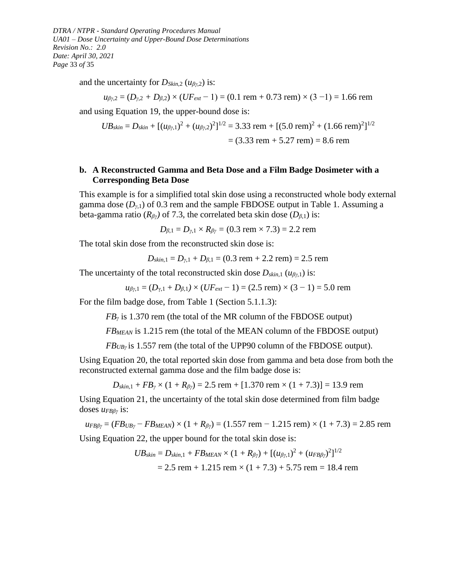*DTRA / NTPR - Standard Operating Procedures Manual UA01 – Dose Uncertainty and Upper-Bound Dose Determinations Revision No.: 2.0 Date: April 30, 2021 Page* 33 *of* 35

and the uncertainty for *DSkin*,2 (*uβγ*,2) is:

$$
u_{\beta y,2} = (D_{y,2} + D_{\beta,2}) \times (UF_{ext} - 1) = (0.1 \text{ rem} + 0.73 \text{ rem}) \times (3 - 1) = 1.66 \text{ rem}
$$

and using Equation 19, the upper-bound dose is:

$$
UB_{skin} = D_{skin} + [(u_{\beta\gamma,1})^2 + (u_{\beta\gamma,2})^2]^{1/2} = 3.33 \text{ rem} + [(5.0 \text{ rem})^2 + (1.66 \text{ rem})^2]^{1/2}
$$

$$
= (3.33 \text{ rem} + 5.27 \text{ rem}) = 8.6 \text{ rem}
$$

#### **b. A Reconstructed Gamma and Beta Dose and a Film Badge Dosimeter with a Corresponding Beta Dose**

This example is for a simplified total skin dose using a reconstructed whole body external gamma dose  $(D_{\gamma,1})$  of 0.3 rem and the sample FBDOSE output in Table 1. Assuming a beta-gamma ratio ( $R_{\beta\gamma}$ ) of 7.3, the correlated beta skin dose ( $D_{\beta,1}$ ) is:

$$
D_{\beta,1} = D_{\gamma,1} \times R_{\beta\gamma} = (0.3 \text{ rem} \times 7.3) = 2.2 \text{ rem}
$$

The total skin dose from the reconstructed skin dose is:

$$
D_{\text{skin},1} = D_{\gamma,1} + D_{\beta,1} = (0.3 \text{ rem} + 2.2 \text{ rem}) = 2.5 \text{ rem}
$$

The uncertainty of the total reconstructed skin dose  $D_{\text{skin},1}$  ( $u_{\beta\gamma,1}$ ) is:

$$
u_{\beta\gamma,1} = (D_{\gamma,1} + D_{\beta,1}) \times (UF_{ext} - 1) = (2.5 \text{ rem}) \times (3 - 1) = 5.0 \text{ rem}
$$

For the film badge dose, from Table 1 (Section [5.1.1.3\)](#page-7-0):

*FB*<sup>*γ*</sup> is 1.370 rem (the total of the MR column of the FBDOSE output)

*FBMEAN* is 1.215 rem (the total of the MEAN column of the FBDOSE output)

*FB*<sub>*UB*<sup>*y*</sup></sub> is 1.557 rem (the total of the UPP90 column of the FBDOSE output).

Using Equation 20, the total reported skin dose from gamma and beta dose from both the reconstructed external gamma dose and the film badge dose is:

 $D_{skin,1} + FB_y \times (1 + R_{\beta y}) = 2.5$  rem + [1.370 rem  $\times (1 + 7.3)$ ] = 13.9 rem

Using Equation 21, the uncertainty of the total skin dose determined from film badge doses *uFBβγ* is:

 $u_{FB\beta\gamma} = (FB_{UB\gamma} - FB_{MEAN}) \times (1 + R_{\beta\gamma}) = (1.557$  rem  $- 1.215$  rem)  $\times (1 + 7.3) = 2.85$  rem Using Equation 22, the upper bound for the total skin dose is:

> $UB_{skin} = D_{skin,1} + FB_{MEAN} \times (1 + R_{\beta\gamma}) + [(u_{\beta\gamma,1})^2 + (u_{FB\beta\gamma})^2]^{1/2}$  $= 2.5$  rem  $+ 1.215$  rem  $\times (1 + 7.3) + 5.75$  rem  $= 18.4$  rem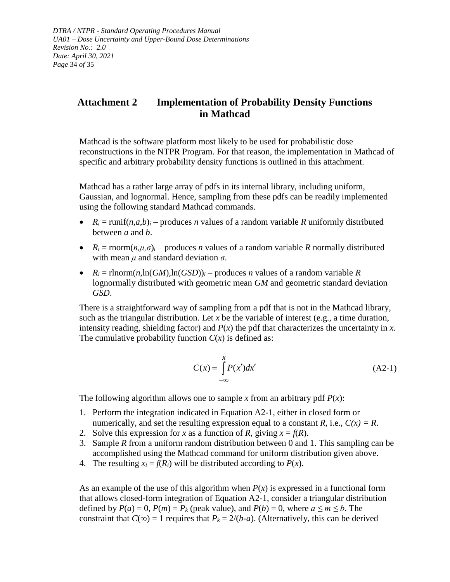*DTRA / NTPR - Standard Operating Procedures Manual UA01 – Dose Uncertainty and Upper-Bound Dose Determinations Revision No.: 2.0 Date: April 30, 2021 Page* 34 *of* 35

## <span id="page-33-0"></span>**Attachment 2 Implementation of Probability Density Functions in Mathcad**

Mathcad is the software platform most likely to be used for probabilistic dose reconstructions in the NTPR Program. For that reason, the implementation in Mathcad of specific and arbitrary probability density functions is outlined in this attachment.

Mathcad has a rather large array of pdfs in its internal library, including uniform, Gaussian, and lognormal. Hence, sampling from these pdfs can be readily implemented using the following standard Mathcad commands.

- $R_i = \text{runif}(n, a, b)_i \text{produces } n$  values of a random variable *R* uniformly distributed between *a* and *b*.
- $R_i = \text{rnorm}(n, \mu, \sigma)_i$  produces *n* values of a random variable *R* normally distributed with mean  $\mu$  and standard deviation  $\sigma$ .
- $R_i = \text{rlnorm}(n, \ln(GM), \ln(GSD))_i$  produces *n* values of a random variable *R* lognormally distributed with geometric mean *GM* and geometric standard deviation *GSD*.

There is a straightforward way of sampling from a pdf that is not in the Mathcad library, such as the triangular distribution. Let  $x$  be the variable of interest (e.g., a time duration, intensity reading, shielding factor) and  $P(x)$  the pdf that characterizes the uncertainty in *x*. The cumulative probability function  $C(x)$  is defined as:

$$
C(x) = \int_{-\infty}^{x} P(x')dx'
$$
 (A2-1)

The following algorithm allows one to sample x from an arbitrary pdf  $P(x)$ :

- 1. Perform the integration indicated in Equation A2-1, either in closed form or numerically, and set the resulting expression equal to a constant *R*, i.e.,  $C(x) = R$ .
- 2. Solve this expression for *x* as a function of *R*, giving  $x = f(R)$ .
- 3. Sample *R* from a uniform random distribution between 0 and 1. This sampling can be accomplished using the Mathcad command for uniform distribution given above.
- 4. The resulting  $x_i = f(R_i)$  will be distributed according to  $P(x)$ .

As an example of the use of this algorithm when  $P(x)$  is expressed in a functional form that allows closed-form integration of Equation A2-1, consider a triangular distribution defined by  $P(a) = 0$ ,  $P(m) = P_k$  (peak value), and  $P(b) = 0$ , where  $a \le m \le b$ . The constraint that  $C(\infty) = 1$  requires that  $P_k = 2/(b-a)$ . (Alternatively, this can be derived